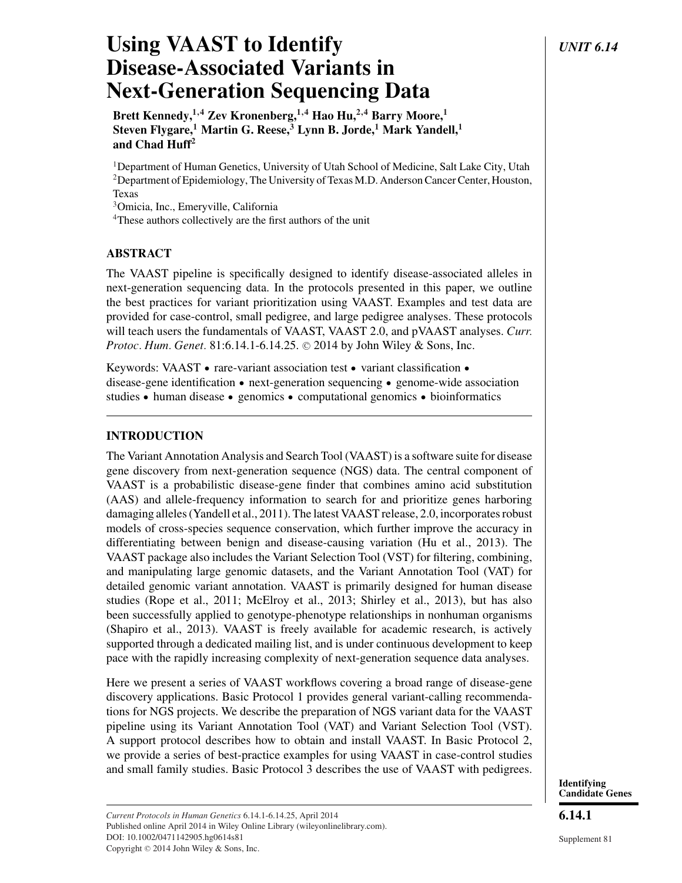# Using VAAST to Identify *UNIT 6.14* **Disease-Associated Variants in Next-Generation Sequencing Data**

**Brett Kennedy,1,4 Zev Kronenberg,1,4 Hao Hu,2,4 Barry Moore,1 Steven Flygare,<sup>1</sup> Martin G. Reese,<sup>3</sup> Lynn B. Jorde,<sup>1</sup> Mark Yandell,<sup>1</sup> and Chad Huff2**

1Department of Human Genetics, University of Utah School of Medicine, Salt Lake City, Utah 2Department of Epidemiology, The University of Texas M.D. Anderson Cancer Center, Houston, Texas

3Omicia, Inc., Emeryville, California

<sup>4</sup>These authors collectively are the first authors of the unit

### **ABSTRACT**

The VAAST pipeline is specifically designed to identify disease-associated alleles in next-generation sequencing data. In the protocols presented in this paper, we outline the best practices for variant prioritization using VAAST. Examples and test data are provided for case-control, small pedigree, and large pedigree analyses. These protocols will teach users the fundamentals of VAAST, VAAST 2.0, and pVAAST analyses. *Curr.* Protoc. Hum. Genet. 81:6.14.1-6.14.25. © 2014 by John Wiley & Sons, Inc.

Keywords: VAAST • rare-variant association test • variant classification • disease-gene identification • next-generation sequencing • genome-wide association studies • human disease • genomics • computational genomics • bioinformatics

## **INTRODUCTION**

The Variant Annotation Analysis and Search Tool (VAAST) is a software suite for disease gene discovery from next-generation sequence (NGS) data. The central component of VAAST is a probabilistic disease-gene finder that combines amino acid substitution (AAS) and allele-frequency information to search for and prioritize genes harboring damaging alleles (Yandell et al., 2011). The latest VAAST release, 2.0, incorporates robust models of cross-species sequence conservation, which further improve the accuracy in differentiating between benign and disease-causing variation (Hu et al., 2013). The VAAST package also includes the Variant Selection Tool (VST) for filtering, combining, and manipulating large genomic datasets, and the Variant Annotation Tool (VAT) for detailed genomic variant annotation. VAAST is primarily designed for human disease studies (Rope et al., 2011; McElroy et al., 2013; Shirley et al., 2013), but has also been successfully applied to genotype-phenotype relationships in nonhuman organisms (Shapiro et al., 2013). VAAST is freely available for academic research, is actively supported through a dedicated mailing list, and is under continuous development to keep pace with the rapidly increasing complexity of next-generation sequence data analyses.

Here we present a series of VAAST workflows covering a broad range of disease-gene discovery applications. Basic Protocol 1 provides general variant-calling recommendations for NGS projects. We describe the preparation of NGS variant data for the VAAST pipeline using its Variant Annotation Tool (VAT) and Variant Selection Tool (VST). A support protocol describes how to obtain and install VAAST. In Basic Protocol 2, we provide a series of best-practice examples for using VAAST in case-control studies and small family studies. Basic Protocol 3 describes the use of VAAST with pedigrees.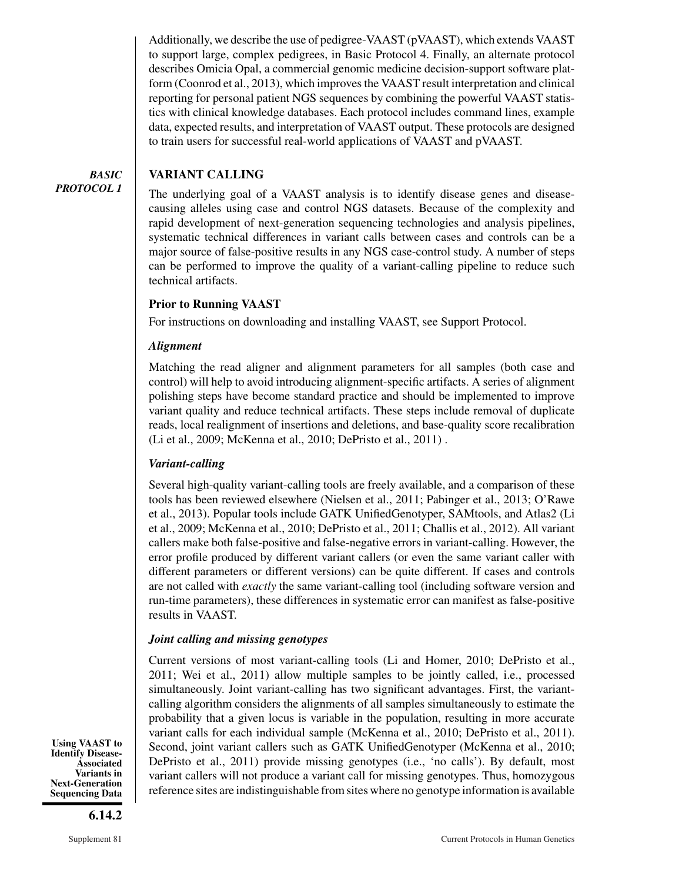Additionally, we describe the use of pedigree-VAAST (pVAAST), which extends VAAST to support large, complex pedigrees, in Basic Protocol 4. Finally, an alternate protocol describes Omicia Opal, a commercial genomic medicine decision-support software platform (Coonrod et al., 2013), which improves the VAAST result interpretation and clinical reporting for personal patient NGS sequences by combining the powerful VAAST statistics with clinical knowledge databases. Each protocol includes command lines, example data, expected results, and interpretation of VAAST output. These protocols are designed to train users for successful real-world applications of VAAST and pVAAST.

#### *BASIC PROTOCOL 1* **VARIANT CALLING**

The underlying goal of a VAAST analysis is to identify disease genes and diseasecausing alleles using case and control NGS datasets. Because of the complexity and rapid development of next-generation sequencing technologies and analysis pipelines, systematic technical differences in variant calls between cases and controls can be a major source of false-positive results in any NGS case-control study. A number of steps can be performed to improve the quality of a variant-calling pipeline to reduce such technical artifacts.

### **Prior to Running VAAST**

For instructions on downloading and installing VAAST, see Support Protocol.

### *Alignment*

Matching the read aligner and alignment parameters for all samples (both case and control) will help to avoid introducing alignment-specific artifacts. A series of alignment polishing steps have become standard practice and should be implemented to improve variant quality and reduce technical artifacts. These steps include removal of duplicate reads, local realignment of insertions and deletions, and base-quality score recalibration (Li et al., 2009; McKenna et al., 2010; DePristo et al., 2011) .

#### *Variant-calling*

Several high-quality variant-calling tools are freely available, and a comparison of these tools has been reviewed elsewhere (Nielsen et al., 2011; Pabinger et al., 2013; O'Rawe et al., 2013). Popular tools include GATK UnifiedGenotyper, SAMtools, and Atlas2 (Li et al., 2009; McKenna et al., 2010; DePristo et al., 2011; Challis et al., 2012). All variant callers make both false-positive and false-negative errors in variant-calling. However, the error profile produced by different variant callers (or even the same variant caller with different parameters or different versions) can be quite different. If cases and controls are not called with *exactly* the same variant-calling tool (including software version and run-time parameters), these differences in systematic error can manifest as false-positive results in VAAST.

### *Joint calling and missing genotypes*

Current versions of most variant-calling tools (Li and Homer, 2010; DePristo et al., 2011; Wei et al., 2011) allow multiple samples to be jointly called, i.e., processed simultaneously. Joint variant-calling has two significant advantages. First, the variantcalling algorithm considers the alignments of all samples simultaneously to estimate the probability that a given locus is variable in the population, resulting in more accurate variant calls for each individual sample (McKenna et al., 2010; DePristo et al., 2011). Second, joint variant callers such as GATK UnifiedGenotyper (McKenna et al., 2010; DePristo et al., 2011) provide missing genotypes (i.e., 'no calls'). By default, most variant callers will not produce a variant call for missing genotypes. Thus, homozygous reference sites are indistinguishable from sites where no genotype information is available

**Using VAAST to Identify Disease-Associated Variants in Next-Generation Sequencing Data**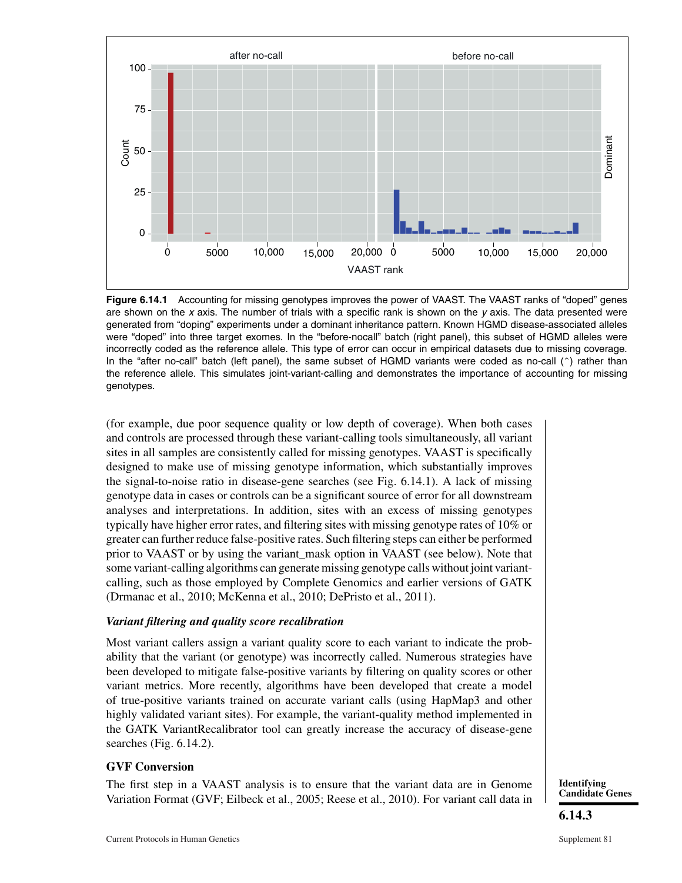

**Figure 6.14.1** Accounting for missing genotypes improves the power of VAAST. The VAAST ranks of "doped" genes are shown on the  $x$  axis. The number of trials with a specific rank is shown on the  $y$  axis. The data presented were generated from "doping" experiments under a dominant inheritance pattern. Known HGMD disease-associated alleles were "doped" into three target exomes. In the "before-nocall" batch (right panel), this subset of HGMD alleles were incorrectly coded as the reference allele. This type of error can occur in empirical datasets due to missing coverage. In the "after no-call" batch (left panel), the same subset of HGMD variants were coded as no-call ( $\hat{ }$ ) rather than the reference allele. This simulates joint-variant-calling and demonstrates the importance of accounting for missing genotypes.

(for example, due poor sequence quality or low depth of coverage). When both cases and controls are processed through these variant-calling tools simultaneously, all variant sites in all samples are consistently called for missing genotypes. VAAST is specifically designed to make use of missing genotype information, which substantially improves the signal-to-noise ratio in disease-gene searches (see Fig. 6.14.1). A lack of missing genotype data in cases or controls can be a significant source of error for all downstream analyses and interpretations. In addition, sites with an excess of missing genotypes typically have higher error rates, and filtering sites with missing genotype rates of 10% or greater can further reduce false-positive rates. Such filtering steps can either be performed prior to VAAST or by using the variant\_mask option in VAAST (see below). Note that some variant-calling algorithms can generate missing genotype calls without joint variantcalling, such as those employed by Complete Genomics and earlier versions of GATK (Drmanac et al., 2010; McKenna et al., 2010; DePristo et al., 2011).

#### *Variant filtering and quality score recalibration*

Most variant callers assign a variant quality score to each variant to indicate the probability that the variant (or genotype) was incorrectly called. Numerous strategies have been developed to mitigate false-positive variants by filtering on quality scores or other variant metrics. More recently, algorithms have been developed that create a model of true-positive variants trained on accurate variant calls (using HapMap3 and other highly validated variant sites). For example, the variant-quality method implemented in the GATK VariantRecalibrator tool can greatly increase the accuracy of disease-gene searches (Fig. 6.14.2).

### **GVF Conversion**

The first step in a VAAST analysis is to ensure that the variant data are in Genome Variation Format (GVF; Eilbeck et al., 2005; Reese et al., 2010). For variant call data in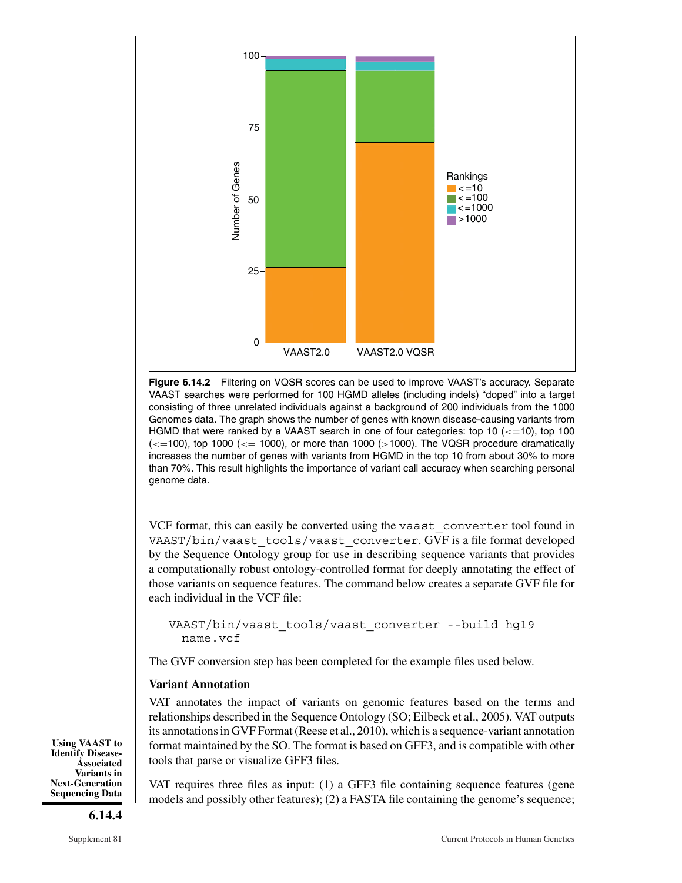

**Figure 6.14.2** Filtering on VQSR scores can be used to improve VAAST's accuracy. Separate VAAST searches were performed for 100 HGMD alleles (including indels) "doped" into a target consisting of three unrelated individuals against a background of 200 individuals from the 1000 Genomes data. The graph shows the number of genes with known disease-causing variants from HGMD that were ranked by a VAAST search in one of four categories: top 10 (*<*=10), top 100 (*<*=100), top 1000 (*<*= 1000), or more than 1000 (*>*1000). The VQSR procedure dramatically increases the number of genes with variants from HGMD in the top 10 from about 30% to more than 70%. This result highlights the importance of variant call accuracy when searching personal genome data.

VCF format, this can easily be converted using the vaast\_converter tool found in VAAST/bin/vaast\_tools/vaast\_converter. GVF is a file format developed by the Sequence Ontology group for use in describing sequence variants that provides a computationally robust ontology-controlled format for deeply annotating the effect of those variants on sequence features. The command below creates a separate GVF file for each individual in the VCF file:

VAAST/bin/vaast\_tools/vaast\_converter --build hg19 name.vcf

The GVF conversion step has been completed for the example files used below.

### **Variant Annotation**

VAT annotates the impact of variants on genomic features based on the terms and relationships described in the Sequence Ontology (SO; Eilbeck et al., 2005). VAT outputs its annotations in GVF Format (Reese et al., 2010), which is a sequence-variant annotation format maintained by the SO. The format is based on GFF3, and is compatible with other tools that parse or visualize GFF3 files.

VAT requires three files as input: (1) a GFF3 file containing sequence features (gene models and possibly other features); (2) a FASTA file containing the genome's sequence;

**Using VAAST to Identify Disease-Associated Variants in Next-Generation Sequencing Data**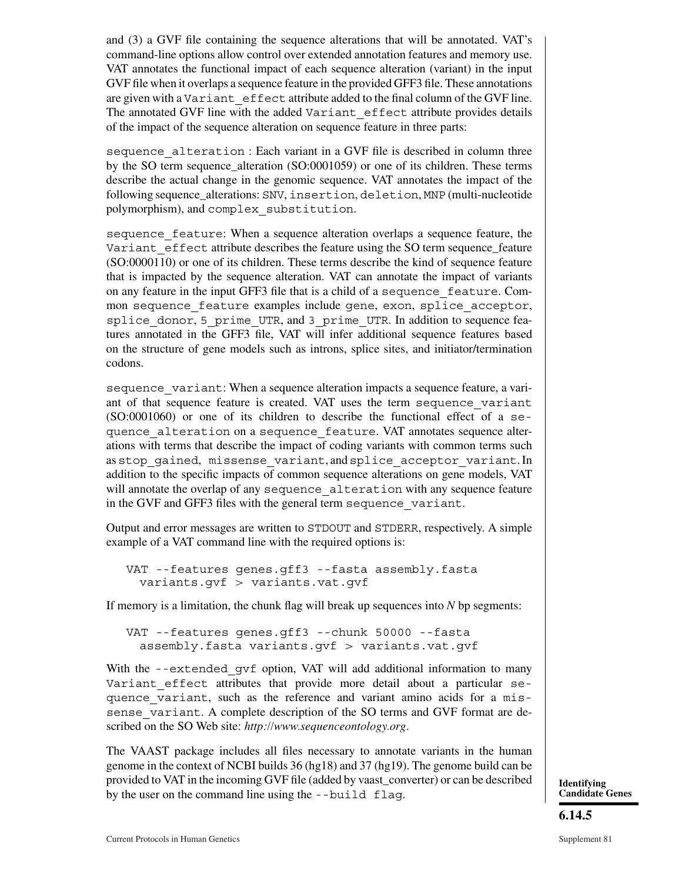and (3) a GVF file containing the sequence alterations that will be annotated. VAT's command-line options allow control over extended annotation features and memory use. VAT annotates the functional impact of each sequence alteration (variant) in the input GVF file when it overlaps a sequence feature in the provided GFF3 file. These annotations are given with a Variant\_effect attribute added to the final column of the GVF line. The annotated GVF line with the added Variant\_effect attribute provides details of the impact of the sequence alteration on sequence feature in three parts:

sequence\_alteration : Each variant in a GVF file is described in column three by the SO term sequence\_alteration (SO:0001059) or one of its children. These terms describe the actual change in the genomic sequence. VAT annotates the impact of the following sequence\_alterations: SNV, insertion, deletion, MNP (multi-nucleotide polymorphism), and complex\_substitution.

sequence feature: When a sequence alteration overlaps a sequence feature, the Variant effect attribute describes the feature using the SO term sequence\_feature (SO:0000110) or one of its children. These terms describe the kind of sequence feature that is impacted by the sequence alteration. VAT can annotate the impact of variants on any feature in the input GFF3 file that is a child of a sequence\_feature. Common sequence feature examples include gene, exon, splice acceptor, splice donor, 5 prime UTR, and 3 prime UTR. In addition to sequence features annotated in the GFF3 file, VAT will infer additional sequence features based on the structure of gene models such as introns, splice sites, and initiator/termination codons.

sequence variant: When a sequence alteration impacts a sequence feature, a variant of that sequence feature is created. VAT uses the term sequence\_variant (SO:0001060) or one of its children to describe the functional effect of a sequence\_alteration on a sequence\_feature. VAT annotates sequence alterations with terms that describe the impact of coding variants with common terms such as stop\_gained, missense\_variant, and splice\_acceptor\_variant. In addition to the specific impacts of common sequence alterations on gene models, VAT will annotate the overlap of any sequence alteration with any sequence feature in the GVF and GFF3 files with the general term sequence variant.

Output and error messages are written to STDOUT and STDERR, respectively. A simple example of a VAT command line with the required options is:

VAT --features genes.gff3 --fasta assembly.fasta variants.gvf > variants.vat.gvf

If memory is a limitation, the chunk flag will break up sequences into *N* bp segments:

VAT --features genes.gff3 --chunk 50000 --fasta assembly.fasta variants.gvf > variants.vat.gvf

With the  $-\text{extended qvf}$  option, VAT will add additional information to many Variant effect attributes that provide more detail about a particular sequence\_variant, such as the reference and variant amino acids for a missense variant. A complete description of the SO terms and GVF format are described on the SO Web site: *http://www.sequenceontology.org*.

The VAAST package includes all files necessary to annotate variants in the human genome in the context of NCBI builds 36 (hg18) and 37 (hg19). The genome build can be provided to VAT in the incoming GVF file (added by vaast\_converter) or can be described provided to VAI in the incoming GVF file (added by vaast\_converter) or can be described <br>by the user on the command line using the --build flag. **If any** candidate

**Candidate Genes**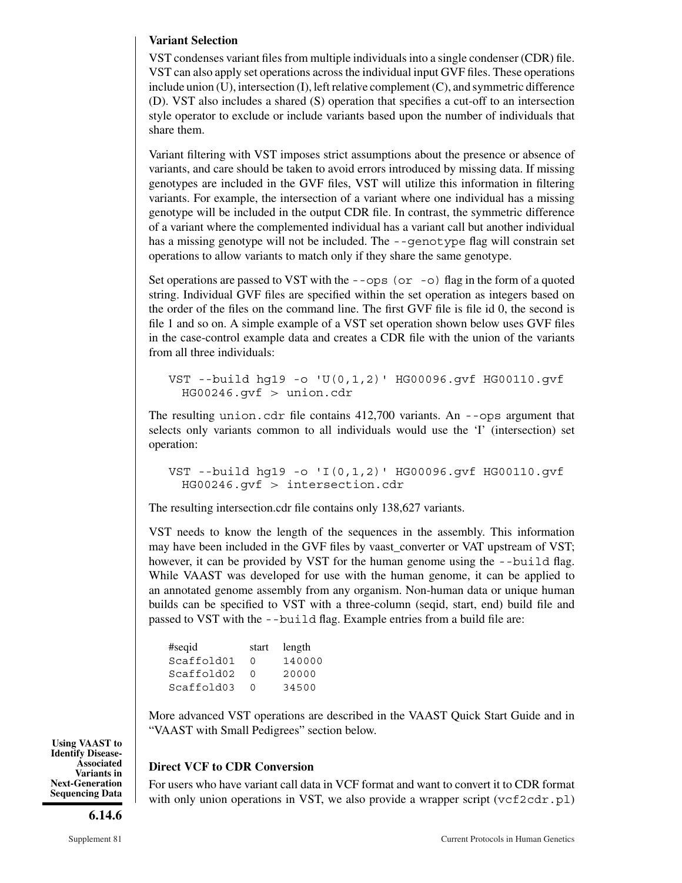#### **Variant Selection**

VST condenses variant files from multiple individuals into a single condenser (CDR) file. VST can also apply set operations across the individual input GVF files. These operations include union (U), intersection (I), left relative complement (C), and symmetric difference (D). VST also includes a shared (S) operation that specifies a cut-off to an intersection style operator to exclude or include variants based upon the number of individuals that share them.

Variant filtering with VST imposes strict assumptions about the presence or absence of variants, and care should be taken to avoid errors introduced by missing data. If missing genotypes are included in the GVF files, VST will utilize this information in filtering variants. For example, the intersection of a variant where one individual has a missing genotype will be included in the output CDR file. In contrast, the symmetric difference of a variant where the complemented individual has a variant call but another individual has a missing genotype will not be included. The  $-$ -genotype flag will constrain set operations to allow variants to match only if they share the same genotype.

Set operations are passed to VST with the  $-$ - $\circ$ ps (or  $-$ o) flag in the form of a quoted string. Individual GVF files are specified within the set operation as integers based on the order of the files on the command line. The first GVF file is file id 0, the second is file 1 and so on. A simple example of a VST set operation shown below uses GVF files in the case-control example data and creates a CDR file with the union of the variants from all three individuals:

```
VST --build hg19 -o 'U(0,1,2)' HG00096.gvf HG00110.gvf
 HG00246.gvf > union.cdr
```
The resulting union.cdr file contains 412,700 variants. An --ops argument that selects only variants common to all individuals would use the 'I' (intersection) set operation:

```
VST --build hg19 -o 'I(0,1,2)' HG00096.gvf HG00110.gvf
 HG00246.gvf > intersection.cdr
```
The resulting intersection.cdr file contains only 138,627 variants.

VST needs to know the length of the sequences in the assembly. This information may have been included in the GVF files by vaast\_converter or VAT upstream of VST; however, it can be provided by VST for the human genome using the  $-$ -build flag. While VAAST was developed for use with the human genome, it can be applied to an annotated genome assembly from any organism. Non-human data or unique human builds can be specified to VST with a three-column (seqid, start, end) build file and passed to VST with the --build flag. Example entries from a build file are:

| #seqid     | start  | length |
|------------|--------|--------|
| Scaffold01 | $\cap$ | 140000 |
| Scaffold02 | U      | 20000  |
| Scaffold03 | ∩      | 34500  |

More advanced VST operations are described in the VAAST Quick Start Guide and in "VAAST with Small Pedigrees" section below.

### **Direct VCF to CDR Conversion**

For users who have variant call data in VCF format and want to convert it to CDR format with only union operations in VST, we also provide a wrapper script  $(\forall c \in 2cdr.p1)$ 

**Using VAAST to Identify Disease-Associated Variants in Next-Generation Sequencing Data**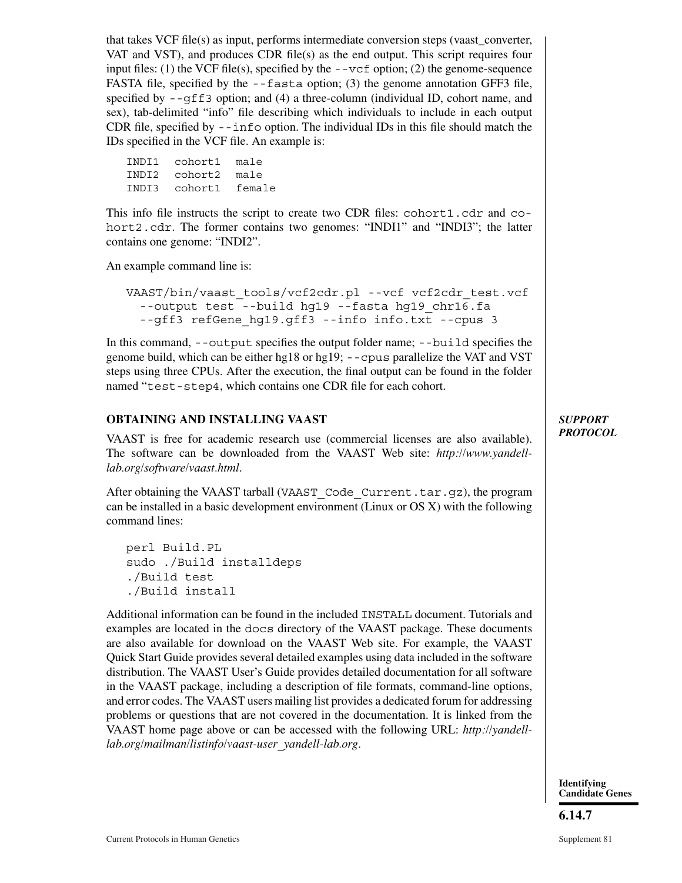that takes VCF file(s) as input, performs intermediate conversion steps (vaast\_converter, VAT and VST), and produces CDR file(s) as the end output. This script requires four input files: (1) the VCF file(s), specified by the  $-\nu c f$  option; (2) the genome-sequence FASTA file, specified by the --fasta option; (3) the genome annotation GFF3 file, specified by  $-\text{gff3}$  option; and (4) a three-column (individual ID, cohort name, and sex), tab-delimited "info" file describing which individuals to include in each output CDR file, specified by  $-\sin f \circ \phi$  option. The individual IDs in this file should match the IDs specified in the VCF file. An example is:

INDI1 cohort1 male INDI2 cohort2 male INDI3 cohort1 female

This info file instructs the script to create two CDR files: cohort1.cdr and cohort2.cdr. The former contains two genomes: "INDI1" and "INDI3"; the latter contains one genome: "INDI2".

An example command line is:

VAAST/bin/vaast\_tools/vcf2cdr.pl --vcf vcf2cdr\_test.vcf --output test --build hg19 --fasta hg19\_chr16.fa --gff3 refGene\_hg19.gff3 --info info.txt --cpus 3

In this command, --output specifies the output folder name; --build specifies the genome build, which can be either hg18 or hg19; --cpus parallelize the VAT and VST steps using three CPUs. After the execution, the final output can be found in the folder named "test-step4, which contains one CDR file for each cohort.

### **OBTAINING AND INSTALLING VAAST**

VAAST is free for academic research use (commercial licenses are also available). The software can be downloaded from the VAAST Web site: *http://www.yandelllab.org/software/vaast.html*.

After obtaining the VAAST tarball (VAAST\_Code\_Current.tar.gz), the program can be installed in a basic development environment (Linux or OS X) with the following command lines:

perl Build.PL sudo ./Build installdeps ./Build test ./Build install

Additional information can be found in the included INSTALL document. Tutorials and examples are located in the docs directory of the VAAST package. These documents are also available for download on the VAAST Web site. For example, the VAAST Quick Start Guide provides several detailed examples using data included in the software distribution. The VAAST User's Guide provides detailed documentation for all software in the VAAST package, including a description of file formats, command-line options, and error codes. The VAAST users mailing list provides a dedicated forum for addressing problems or questions that are not covered in the documentation. It is linked from the VAAST home page above or can be accessed with the following URL: *http://yandelllab.org/mailman/listinfo/vaast-user\_yandell-lab.org.*

*SUPPORT PROTOCOL*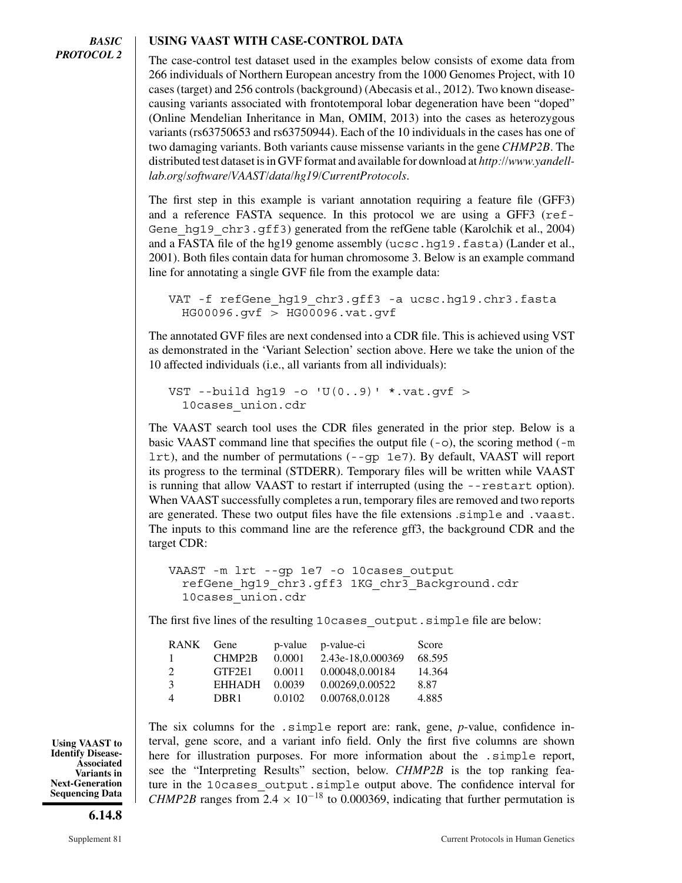#### **USING VAAST WITH CASE-CONTROL DATA**

The case-control test dataset used in the examples below consists of exome data from 266 individuals of Northern European ancestry from the 1000 Genomes Project, with 10 cases (target) and 256 controls (background) (Abecasis et al., 2012). Two known diseasecausing variants associated with frontotemporal lobar degeneration have been "doped" (Online Mendelian Inheritance in Man, OMIM, 2013) into the cases as heterozygous variants (rs63750653 and rs63750944). Each of the 10 individuals in the cases has one of two damaging variants. Both variants cause missense variants in the gene *CHMP2B*. The distributed test dataset is in GVF format and available for download at *http://www.yandelllab.org/software/VAAST/data/hg19/CurrentProtocols*.

The first step in this example is variant annotation requiring a feature file (GFF3) and a reference FASTA sequence. In this protocol we are using a GFF3 (ref-Gene hq19 chr3.qff3) generated from the refGene table (Karolchik et al., 2004) and a FASTA file of the hg19 genome assembly (ucsc.hg19.fasta) (Lander et al., 2001). Both files contain data for human chromosome 3. Below is an example command line for annotating a single GVF file from the example data:

```
VAT -f refGene hq19 chr3.qff3 -a ucsc.hq19.chr3.fasta
 HG00096.gvf > HG00096.vat.gvf
```
The annotated GVF files are next condensed into a CDR file. This is achieved using VST as demonstrated in the 'Variant Selection' section above. Here we take the union of the 10 affected individuals (i.e., all variants from all individuals):

```
VST --build hg19 -o 'U(0..9)' *.vat.gvf >
 10cases union.cdr
```
The VAAST search tool uses the CDR files generated in the prior step. Below is a basic VAAST command line that specifies the output file  $(-\infty)$ , the scoring method  $(-\infty)$ lrt), and the number of permutations (--gp 1e7). By default, VAAST will report its progress to the terminal (STDERR). Temporary files will be written while VAAST is running that allow VAAST to restart if interrupted (using the --restart option). When VAAST successfully completes a run, temporary files are removed and two reports are generated. These two output files have the file extensions .simple and .vaast. The inputs to this command line are the reference gff3, the background CDR and the target CDR:

```
VAAST -m lrt --gp 1e7 -o 10cases output
 refGene_hg19_chr3.gff3 1KG_chr3_Background.cdr
 10cases union.cdr
```
The first five lines of the resulting 10 cases output.simple file are below:

| RANK           | Gene             |        | p-value p-value-ci | Score  |
|----------------|------------------|--------|--------------------|--------|
| $\mathbf{L}$   | CHMP2B           | 0.0001 | 2.43e-18,0.000369  | 68.595 |
| $2^{1}$        | GTF2E1           | 0.0011 | 0.00048,0.00184    | 14.364 |
| $\mathcal{R}$  | <b>EHHADH</b>    | 0.0039 | 0.00269,0.00522    | 8.87   |
| $\overline{4}$ | DBR <sub>1</sub> | 0.0102 | 0.00768,0.0128     | 4.885  |

The six columns for the .simple report are: rank, gene, *p*-value, confidence interval, gene score, and a variant info field. Only the first five columns are shown here for illustration purposes. For more information about the .simple report, see the "Interpreting Results" section, below. *CHMP2B* is the top ranking feature in the 10cases output.simple output above. The confidence interval for *CHMP2B* ranges from  $2.4 \times 10^{-18}$  to 0.000369, indicating that further permutation is

**Using VAAST to Identify Disease-Associated Variants in Next-Generation Sequencing Data**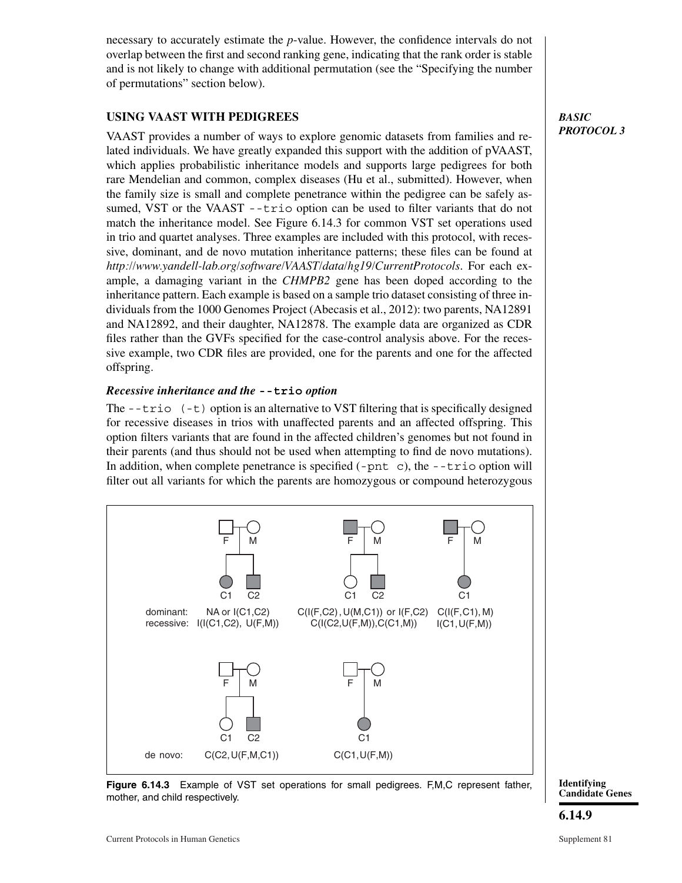necessary to accurately estimate the *p*-value. However, the confidence intervals do not overlap between the first and second ranking gene, indicating that the rank order is stable and is not likely to change with additional permutation (see the "Specifying the number of permutations" section below).

### **USING VAAST WITH PEDIGREES**

VAAST provides a number of ways to explore genomic datasets from families and related individuals. We have greatly expanded this support with the addition of pVAAST, which applies probabilistic inheritance models and supports large pedigrees for both rare Mendelian and common, complex diseases (Hu et al., submitted). However, when the family size is small and complete penetrance within the pedigree can be safely assumed, VST or the VAAST --trio option can be used to filter variants that do not match the inheritance model. See Figure 6.14.3 for common VST set operations used in trio and quartet analyses. Three examples are included with this protocol, with recessive, dominant, and de novo mutation inheritance patterns; these files can be found at *http://www.yandell-lab.org/software/VAAST/data/hg19/CurrentProtocols*. For each example, a damaging variant in the *CHMPB2* gene has been doped according to the inheritance pattern. Each example is based on a sample trio dataset consisting of three individuals from the 1000 Genomes Project (Abecasis et al., 2012): two parents, NA12891 and NA12892, and their daughter, NA12878. The example data are organized as CDR files rather than the GVFs specified for the case-control analysis above. For the recessive example, two CDR files are provided, one for the parents and one for the affected offspring.

#### *Recessive inheritance and the* **--trio** *option*

The  $-\text{trio}$  ( $-\text{t}$ ) option is an alternative to VST filtering that is specifically designed for recessive diseases in trios with unaffected parents and an affected offspring. This option filters variants that are found in the affected children's genomes but not found in their parents (and thus should not be used when attempting to find de novo mutations). In addition, when complete penetrance is specified  $(-pnt)$ , the  $-$ -trio option will filter out all variants for which the parents are homozygous or compound heterozygous



**Figure 6.14.3** Example of VST set operations for small pedigrees. F,M,C represent father, mother, and child respectively.

**Identifying Candidate Genes**

*BASIC PROTOCOL 3*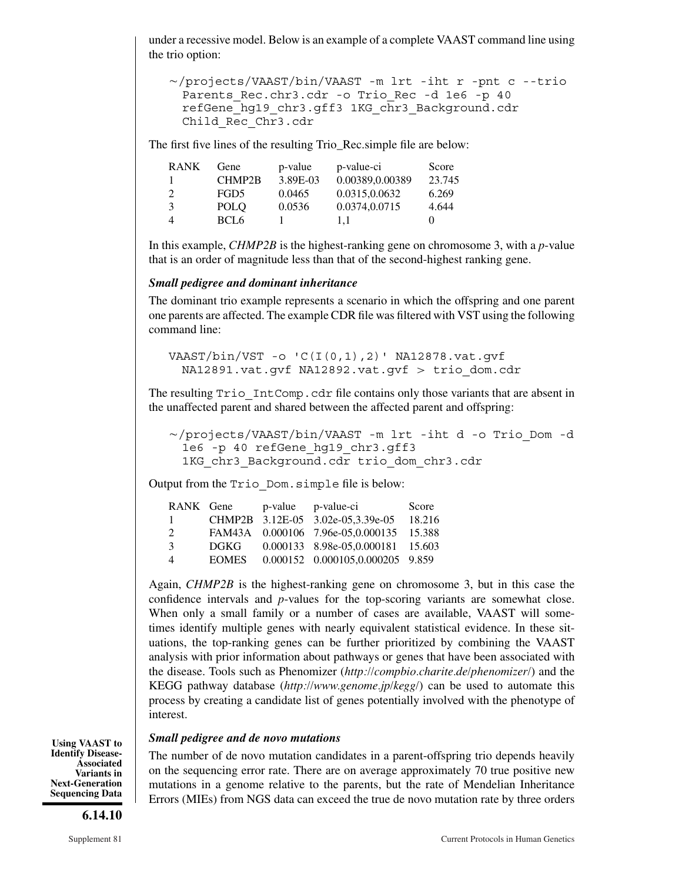under a recessive model. Below is an example of a complete VAAST command line using the trio option:

```
-
/projects/VAAST/bin/VAAST -m lrt -iht r -pnt c --trio
 Parents Rec.chr3.cdr -o Trio Rec -d 1e6 -p 40
 refGene_hg19_chr3.gff3 1KG_chr3_Background.cdr
 Child_Rec_Chr3.cdr
```
The first five lines of the resulting Trio\_Rec.simple file are below:

| <b>RANK</b>    | Gene             | p-value  | p-value-ci      | Score  |
|----------------|------------------|----------|-----------------|--------|
| 1              | CHMP2B           | 3.89E-03 | 0.00389,0.00389 | 23.745 |
| 2              | FGD5             | 0.0465   | 0.0315,0.0632   | 6.269  |
| $\mathcal{E}$  | POLO             | 0.0536   | 0.0374,0.0715   | 4.644  |
| $\overline{4}$ | BCL <sub>6</sub> |          | 1.1             |        |

In this example, *CHMP2B* is the highest-ranking gene on chromosome 3, with a *p*-value that is an order of magnitude less than that of the second-highest ranking gene.

#### *Small pedigree and dominant inheritance*

The dominant trio example represents a scenario in which the offspring and one parent one parents are affected. The example CDR file was filtered with VST using the following command line:

VAAST/bin/VST -o 'C(I(0,1),2)' NA12878.vat.gvf NA12891.vat.gvf NA12892.vat.gvf > trio\_dom.cdr

The resulting  $Tri\circ IntComp.cdr$  file contains only those variants that are absent in the unaffected parent and shared between the affected parent and offspring:

```
-
/projects/VAAST/bin/VAAST -m lrt -iht d -o Trio_Dom -d
 1e6 -p 40 refGene_hg19_chr3.gff3
 1KG chr3 Background.cdr trio dom chr3.cdr
```
Output from the Trio\_Dom.simple file is below:

|              |           | Score                                                                                                                                                                        |
|--------------|-----------|------------------------------------------------------------------------------------------------------------------------------------------------------------------------------|
|              |           | 18.216                                                                                                                                                                       |
|              |           |                                                                                                                                                                              |
| DGKG -       |           |                                                                                                                                                                              |
| <b>EOMES</b> |           |                                                                                                                                                                              |
|              | RANK Gene | p-value p-value-ci<br>CHMP2B 3.12E-05 3.02e-05.3.39e-05<br>FAM43A 0.000106 7.96e-05,0.000135 15.388<br>0.000133 8.98e-05,0.000181 15.603<br>0.000152 0.000105,0.000205 9.859 |

Again, *CHMP2B* is the highest-ranking gene on chromosome 3, but in this case the confidence intervals and *p*-values for the top-scoring variants are somewhat close. When only a small family or a number of cases are available, VAAST will sometimes identify multiple genes with nearly equivalent statistical evidence. In these situations, the top-ranking genes can be further prioritized by combining the VAAST analysis with prior information about pathways or genes that have been associated with the disease. Tools such as Phenomizer (*http://compbio.charite.de/phenomizer/*) and the KEGG pathway database (*http://www.genome.jp/kegg/*) can be used to automate this process by creating a candidate list of genes potentially involved with the phenotype of interest.

#### *Small pedigree and de novo mutations*

The number of de novo mutation candidates in a parent-offspring trio depends heavily on the sequencing error rate. There are on average approximately 70 true positive new mutations in a genome relative to the parents, but the rate of Mendelian Inheritance Errors (MIEs) from NGS data can exceed the true de novo mutation rate by three orders

**Using VAAST to Identify Disease-Associated Variants in Next-Generation Sequencing Data**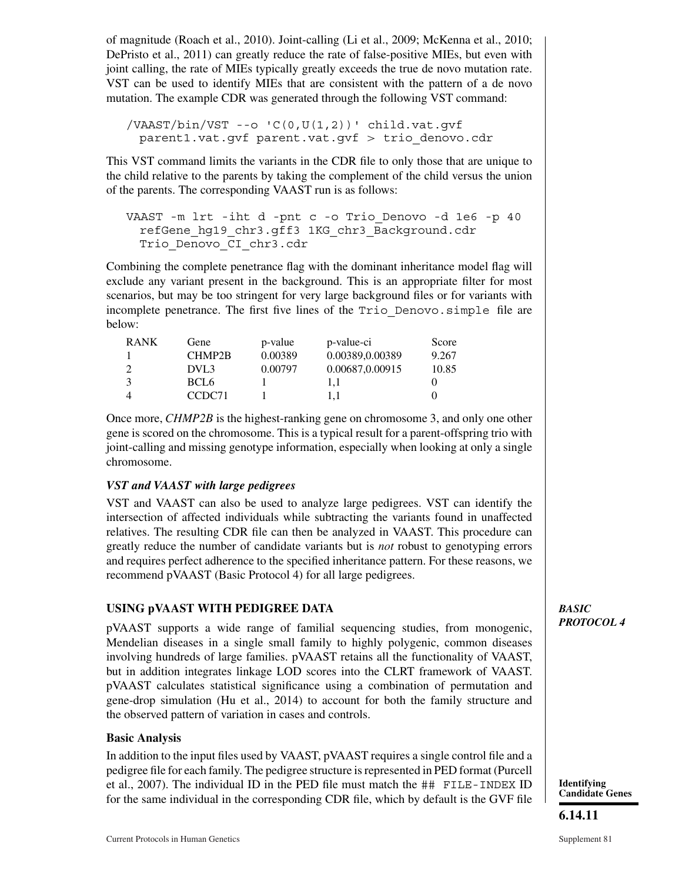of magnitude (Roach et al., 2010). Joint-calling (Li et al., 2009; McKenna et al., 2010; DePristo et al., 2011) can greatly reduce the rate of false-positive MIEs, but even with joint calling, the rate of MIEs typically greatly exceeds the true de novo mutation rate. VST can be used to identify MIEs that are consistent with the pattern of a de novo mutation. The example CDR was generated through the following VST command:

 $/VAAST/bin/VST$  --o  $(C(0,U(1,2))$  child.vat.qvf parent1.vat.gvf parent.vat.gvf > trio\_denovo.cdr

This VST command limits the variants in the CDR file to only those that are unique to the child relative to the parents by taking the complement of the child versus the union of the parents. The corresponding VAAST run is as follows:

```
VAAST -m lrt -iht d -pnt c -o Trio_Denovo -d 1e6 -p 40
 refGene_hg19_chr3.gff3 1KG_chr3_Background.cdr
 Trio_Denovo_CI_chr3.cdr
```
Combining the complete penetrance flag with the dominant inheritance model flag will exclude any variant present in the background. This is an appropriate filter for most scenarios, but may be too stringent for very large background files or for variants with incomplete penetrance. The first five lines of the Trio\_Denovo.simple file are below:

| <b>RANK</b>    | Gene               | p-value | p-value-ci      | Score |
|----------------|--------------------|---------|-----------------|-------|
|                | CHMP2B             | 0.00389 | 0.00389,0.00389 | 9.267 |
|                | DVL3               | 0.00797 | 0.00687,0.00915 | 10.85 |
| 3              | BCL6               |         | I.I             |       |
| $\overline{4}$ | CCDC <sub>71</sub> |         | l.l             |       |

Once more, *CHMP2B* is the highest-ranking gene on chromosome 3, and only one other gene is scored on the chromosome. This is a typical result for a parent-offspring trio with joint-calling and missing genotype information, especially when looking at only a single chromosome.

### *VST and VAAST with large pedigrees*

VST and VAAST can also be used to analyze large pedigrees. VST can identify the intersection of affected individuals while subtracting the variants found in unaffected relatives. The resulting CDR file can then be analyzed in VAAST. This procedure can greatly reduce the number of candidate variants but is *not* robust to genotyping errors and requires perfect adherence to the specified inheritance pattern. For these reasons, we recommend pVAAST (Basic Protocol 4) for all large pedigrees.

### **USING pVAAST WITH PEDIGREE DATA**

pVAAST supports a wide range of familial sequencing studies, from monogenic, Mendelian diseases in a single small family to highly polygenic, common diseases involving hundreds of large families. pVAAST retains all the functionality of VAAST, but in addition integrates linkage LOD scores into the CLRT framework of VAAST. pVAAST calculates statistical significance using a combination of permutation and gene-drop simulation (Hu et al., 2014) to account for both the family structure and the observed pattern of variation in cases and controls.

#### **Basic Analysis**

In addition to the input files used by VAAST, pVAAST requires a single control file and a pedigree file for each family. The pedigree structure is represented in PED format (Purcell et al., 2007). The individual ID in the PED file must match the ## FILE-INDEX ID for the same individual in the corresponding CDR file, which by default is the GVF file *BASIC PROTOCOL 4*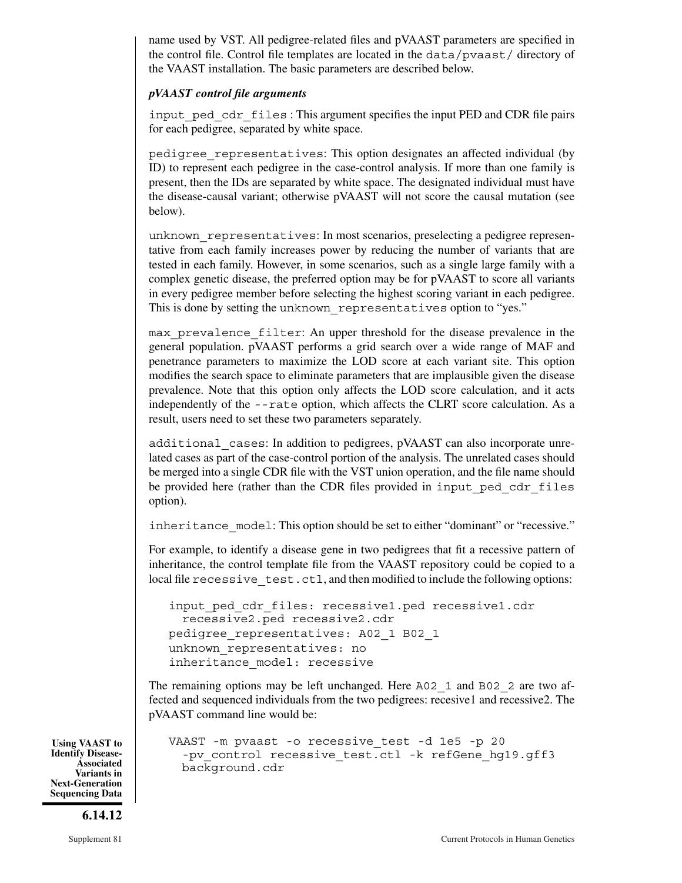name used by VST. All pedigree-related files and pVAAST parameters are specified in the control file. Control file templates are located in the data/pvaast/ directory of the VAAST installation. The basic parameters are described below.

#### *pVAAST control file arguments*

input ped cdr files : This argument specifies the input PED and CDR file pairs for each pedigree, separated by white space.

pedigree representatives: This option designates an affected individual (by ID) to represent each pedigree in the case-control analysis. If more than one family is present, then the IDs are separated by white space. The designated individual must have the disease-causal variant; otherwise pVAAST will not score the causal mutation (see below).

unknown representatives: In most scenarios, preselecting a pedigree representative from each family increases power by reducing the number of variants that are tested in each family. However, in some scenarios, such as a single large family with a complex genetic disease, the preferred option may be for pVAAST to score all variants in every pedigree member before selecting the highest scoring variant in each pedigree. This is done by setting the unknown representatives option to "yes."

max prevalence filter: An upper threshold for the disease prevalence in the general population. pVAAST performs a grid search over a wide range of MAF and penetrance parameters to maximize the LOD score at each variant site. This option modifies the search space to eliminate parameters that are implausible given the disease prevalence. Note that this option only affects the LOD score calculation, and it acts independently of the --rate option, which affects the CLRT score calculation. As a result, users need to set these two parameters separately.

additional\_cases: In addition to pedigrees, pVAAST can also incorporate unrelated cases as part of the case-control portion of the analysis. The unrelated cases should be merged into a single CDR file with the VST union operation, and the file name should be provided here (rather than the CDR files provided in input\_ped\_cdr\_files option).

inheritance model: This option should be set to either "dominant" or "recessive."

For example, to identify a disease gene in two pedigrees that fit a recessive pattern of inheritance, the control template file from the VAAST repository could be copied to a local file recessive test.ctl, and then modified to include the following options:

```
input ped cdr files: recessive1.ped recessive1.cdr
 recessive2.ped recessive2.cdr
pedigree representatives: A02 1 B02 1
unknown_representatives: no
inheritance_model: recessive
```
The remaining options may be left unchanged. Here A02\_1 and B02\_2 are two affected and sequenced individuals from the two pedigrees: recesive1 and recessive2. The pVAAST command line would be:

```
VAAST -m pvaast -o recessive_test -d 1e5 -p 20
 -pv control recessive test.ctl -k refGene hg19.gff3
 background.cdr
```
**Using VAAST to Identify Disease-Associated Variants in Next-Generation Sequencing Data**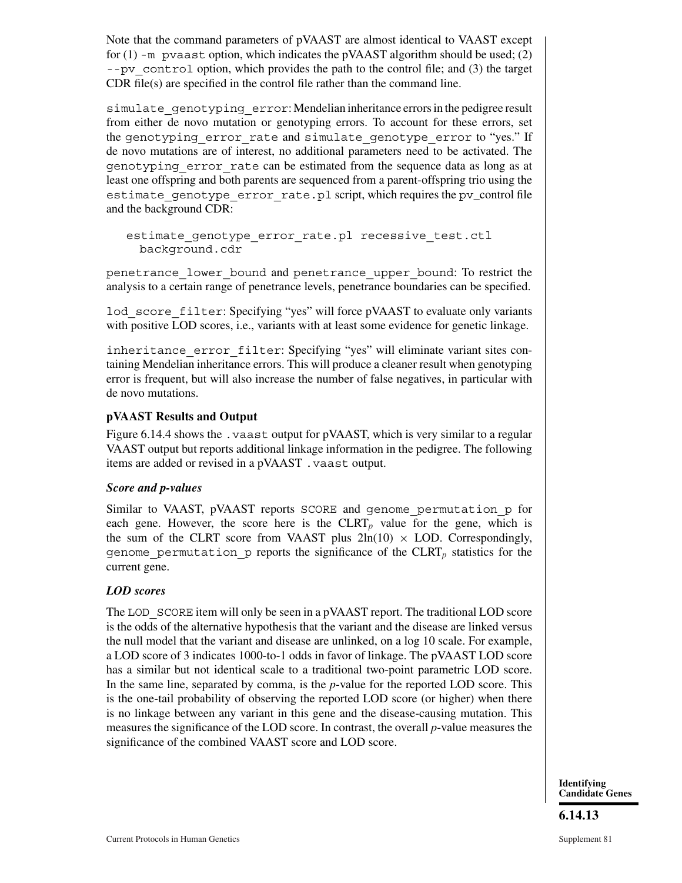Note that the command parameters of pVAAST are almost identical to VAAST except for  $(1)$  -m pvaast option, which indicates the pVAAST algorithm should be used;  $(2)$  $-$ -pv control option, which provides the path to the control file; and (3) the target CDR file(s) are specified in the control file rather than the command line.

simulate qenotyping error: Mendelian inheritance errors in the pedigree result from either de novo mutation or genotyping errors. To account for these errors, set the genotyping error rate and simulate genotype error to "yes." If de novo mutations are of interest, no additional parameters need to be activated. The genotyping\_error\_rate can be estimated from the sequence data as long as at least one offspring and both parents are sequenced from a parent-offspring trio using the estimate genotype error rate.pl script, which requires the pv\_control file and the background CDR:

estimate genotype error rate.pl recessive test.ctl background.cdr

penetrance\_lower\_bound and penetrance\_upper\_bound: To restrict the analysis to a certain range of penetrance levels, penetrance boundaries can be specified.

lod score filter: Specifying "yes" will force pVAAST to evaluate only variants with positive LOD scores, i.e., variants with at least some evidence for genetic linkage.

inheritance error filter: Specifying "yes" will eliminate variant sites containing Mendelian inheritance errors. This will produce a cleaner result when genotyping error is frequent, but will also increase the number of false negatives, in particular with de novo mutations.

### **pVAAST Results and Output**

Figure 6.14.4 shows the .vaast output for pVAAST, which is very similar to a regular VAAST output but reports additional linkage information in the pedigree. The following items are added or revised in a pVAAST .vaast output.

### *Score and p-values*

Similar to VAAST, pVAAST reports SCORE and genome\_permutation\_p for each gene. However, the score here is the  $CLRT_p$  value for the gene, which is the sum of the CLRT score from VAAST plus  $2\ln(10) \times$  LOD. Correspondingly, genome\_permutation\_p reports the significance of the CLRT*<sup>p</sup>* statistics for the current gene.

### *LOD scores*

The LOD SCORE item will only be seen in a pVAAST report. The traditional LOD score is the odds of the alternative hypothesis that the variant and the disease are linked versus the null model that the variant and disease are unlinked, on a log 10 scale. For example, a LOD score of 3 indicates 1000-to-1 odds in favor of linkage. The pVAAST LOD score has a similar but not identical scale to a traditional two-point parametric LOD score. In the same line, separated by comma, is the *p*-value for the reported LOD score. This is the one-tail probability of observing the reported LOD score (or higher) when there is no linkage between any variant in this gene and the disease-causing mutation. This measures the significance of the LOD score. In contrast, the overall *p*-value measures the significance of the combined VAAST score and LOD score.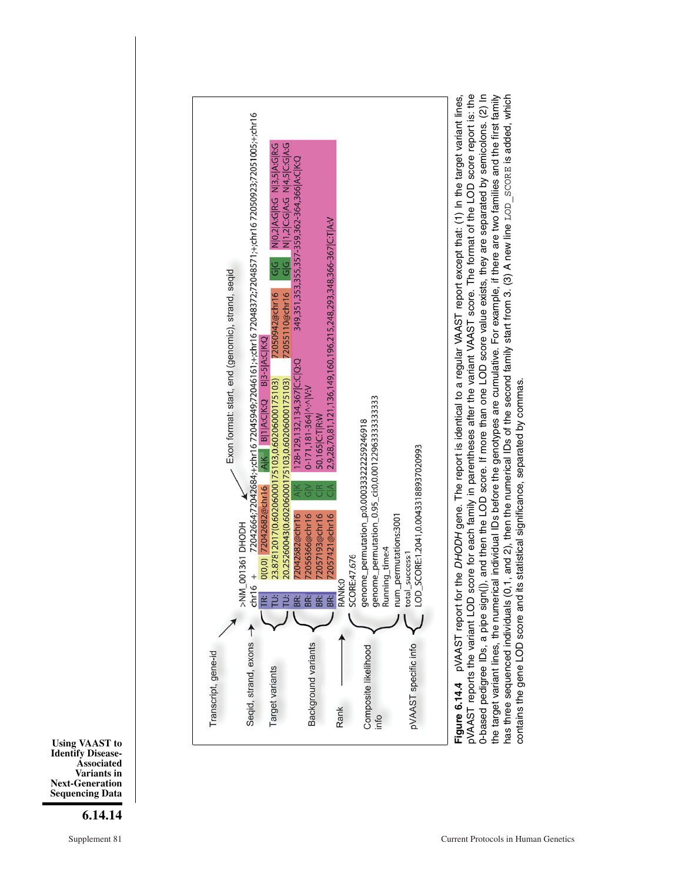

### **6.14.14**



pVAAST reports the variant LOD score for each family in parentheses after the variant VAAST score. The format of the LOD score report is: the 0-based pedigree IDs, a pipe sign(|), and then the LOD score. If more than one LOD score value exists, they are separated by semicolons. (2) In the target variant lines, the numerical individual IDs before the genotypes are cumulative. For example, if there are two families and the first family pVAAST report for the DHODH gene. The report is identical to a regular VAAST report except that: (1) In the target variant lines, **Figure 6.14.4** pVAAST report for the DHODH gene. The report is identical to a regular VAAST report except that: (1) In the target variant lines, pVAAST reports the variant LOD score for each family in parentheses after the variant VAAST score. The format of the LOD score report is: the 0-based pedigree IDs, a pipe sign(), and then the LOD score. If more than one LOD score value exists, they are separated by semicolons. (2) In the target variant lines, the numerical individual IDs before the genotypes are cumulative. For example, if there are two families and the first family has three sequenced individuals (0,1, and 2), then the numerical IDs of the second family start from 3. (3) A new line LOD SCORE is added, which has three sequenced individuals (0,1, and 2), then the numerical IDs of the second family start from 3. (3) A new line LOD\_SCORE is added, which contains the gene LOD score and its statistical significance, separated by commas contains the gene LOD score and its statistical significance, separated by commas.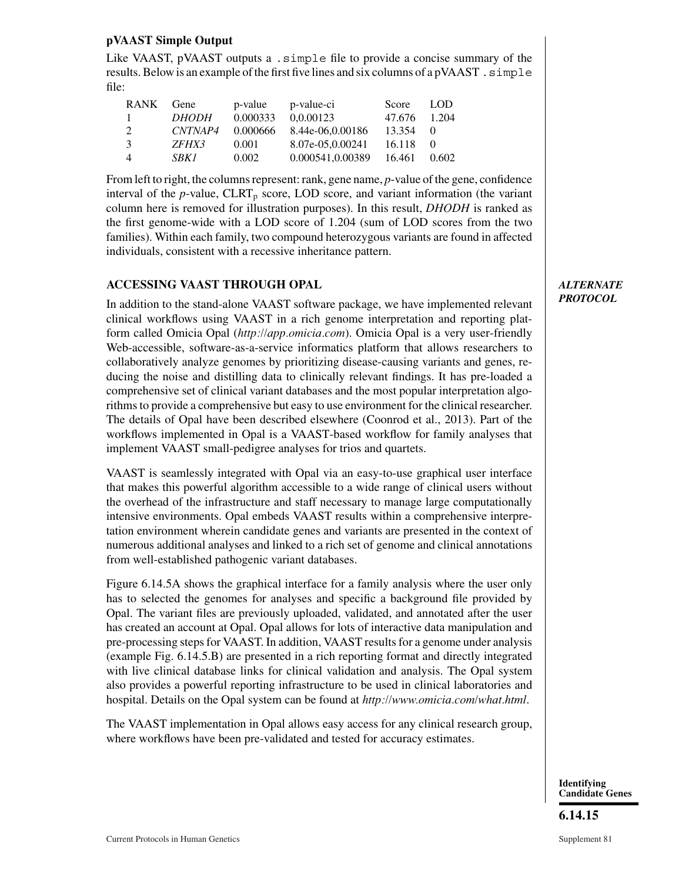### **pVAAST Simple Output**

Like VAAST, pVAAST outputs a . simple file to provide a concise summary of the results. Below is an example of the first five lines and six columns of a pVAAST.  $\sinh$ file:

| <b>RANK</b>    | Gene         | p-value  | p-value-ci       | Score        | LOD.  |
|----------------|--------------|----------|------------------|--------------|-------|
| $\mathbf{L}$   | <i>DHODH</i> | 0.000333 | 0.0.00123        | 47.676 1.204 |       |
| $\mathcal{L}$  | CNTNAP4      | 0.000666 | 8.44e-06,0.00186 | 13.354 0     |       |
| $\mathcal{R}$  | <i>ZFHX3</i> | 0.001    | 8.07e-05.0.00241 | 16.118       | - ( ) |
| $\overline{4}$ | <i>SBK1</i>  | 0.002    | 0.000541,0.00389 | 16.461       | 0.602 |

From left to right, the columns represent: rank, gene name, *p*-value of the gene, confidence interval of the  $p$ -value,  $CLRT_p$  score, LOD score, and variant information (the variant column here is removed for illustration purposes). In this result, *DHODH* is ranked as the first genome-wide with a LOD score of 1.204 (sum of LOD scores from the two families). Within each family, two compound heterozygous variants are found in affected individuals, consistent with a recessive inheritance pattern.

### **ACCESSING VAAST THROUGH OPAL**

In addition to the stand-alone VAAST software package, we have implemented relevant clinical workflows using VAAST in a rich genome interpretation and reporting platform called Omicia Opal (*http://app.omicia.com*). Omicia Opal is a very user-friendly Web-accessible, software-as-a-service informatics platform that allows researchers to collaboratively analyze genomes by prioritizing disease-causing variants and genes, reducing the noise and distilling data to clinically relevant findings. It has pre-loaded a comprehensive set of clinical variant databases and the most popular interpretation algorithms to provide a comprehensive but easy to use environment for the clinical researcher. The details of Opal have been described elsewhere (Coonrod et al., 2013). Part of the workflows implemented in Opal is a VAAST-based workflow for family analyses that implement VAAST small-pedigree analyses for trios and quartets.

VAAST is seamlessly integrated with Opal via an easy-to-use graphical user interface that makes this powerful algorithm accessible to a wide range of clinical users without the overhead of the infrastructure and staff necessary to manage large computationally intensive environments. Opal embeds VAAST results within a comprehensive interpretation environment wherein candidate genes and variants are presented in the context of numerous additional analyses and linked to a rich set of genome and clinical annotations from well-established pathogenic variant databases.

Figure 6.14.5A shows the graphical interface for a family analysis where the user only has to selected the genomes for analyses and specific a background file provided by Opal. The variant files are previously uploaded, validated, and annotated after the user has created an account at Opal. Opal allows for lots of interactive data manipulation and pre-processing steps for VAAST. In addition, VAAST results for a genome under analysis (example Fig. 6.14.5.B) are presented in a rich reporting format and directly integrated with live clinical database links for clinical validation and analysis. The Opal system also provides a powerful reporting infrastructure to be used in clinical laboratories and hospital. Details on the Opal system can be found at *http://www.omicia.com/what.html*.

The VAAST implementation in Opal allows easy access for any clinical research group, where workflows have been pre-validated and tested for accuracy estimates.

### *ALTERNATE PROTOCOL*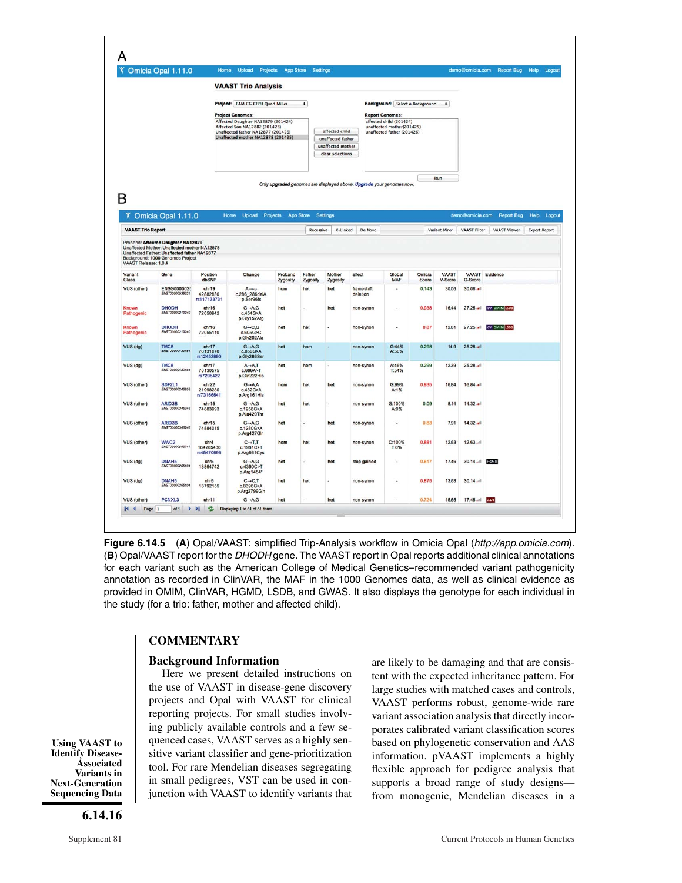|                          | Omicia Opal 1.11.0                                                                                                                                                     |                                  | Home Upload Projects                                                                                                                            |                     | <b>App Store Settings</b> |                                       |                                                                      |                                                         |                 |                  | demo@omicia.com | Report Bug Help   | Logout               |
|--------------------------|------------------------------------------------------------------------------------------------------------------------------------------------------------------------|----------------------------------|-------------------------------------------------------------------------------------------------------------------------------------------------|---------------------|---------------------------|---------------------------------------|----------------------------------------------------------------------|---------------------------------------------------------|-----------------|------------------|-----------------|-------------------|----------------------|
|                          |                                                                                                                                                                        |                                  | <b>VAAST Trio Analysis</b>                                                                                                                      |                     |                           |                                       |                                                                      |                                                         |                 |                  |                 |                   |                      |
|                          |                                                                                                                                                                        |                                  | Project: FAM CG CEPH Quad Miller                                                                                                                |                     | $\div$                    |                                       |                                                                      | Background: Select a Background :                       |                 |                  |                 |                   |                      |
|                          |                                                                                                                                                                        |                                  | <b>Project Genomes:</b>                                                                                                                         |                     |                           |                                       |                                                                      | <b>Report Genomes:</b><br>affected child (201424)       |                 |                  |                 |                   |                      |
|                          |                                                                                                                                                                        |                                  | Affected Daughter NA12879 (201424)<br>Affected Son NA12882 (201423)<br>Unaffected father NA12877 (201426)<br>Unaffected mother NA12878 (201425) |                     |                           | affected child<br>unaffected father   |                                                                      | unaffected mother(201425)<br>unaffected father (201426) |                 |                  |                 |                   |                      |
|                          |                                                                                                                                                                        |                                  |                                                                                                                                                 |                     |                           | unaffected mother<br>clear selections |                                                                      |                                                         |                 |                  |                 |                   |                      |
|                          |                                                                                                                                                                        |                                  |                                                                                                                                                 |                     |                           |                                       |                                                                      |                                                         |                 | Run              |                 |                   |                      |
|                          |                                                                                                                                                                        |                                  |                                                                                                                                                 |                     |                           |                                       | Only upgraded genomes are displayed above. Upgrade your genomes now. |                                                         |                 |                  |                 |                   |                      |
| R                        |                                                                                                                                                                        |                                  |                                                                                                                                                 |                     |                           |                                       |                                                                      |                                                         |                 |                  |                 |                   |                      |
|                          | X Omicia Opal 1.11.0                                                                                                                                                   |                                  | Home<br>Upload Projects                                                                                                                         |                     | App Store<br>Settings     |                                       |                                                                      |                                                         |                 |                  | demo@omicia.com | <b>Report Bug</b> | Help Logout          |
| <b>VAAST Trio Report</b> |                                                                                                                                                                        |                                  |                                                                                                                                                 |                     | Recessive                 | X-Linked                              | De Novo                                                              |                                                         |                 | Variant Miner    | VAAST Filter    | VAAST Viewer      | <b>Export Report</b> |
| VAAST Release: 1.0.4     | Proband: Affected Daughter NA12879<br>Unaffected Mother: Unaffected mother NA12878<br>Unaffected Father: Unaffected father NA12877<br>Background: 1000 Genomes Project |                                  |                                                                                                                                                 |                     |                           |                                       |                                                                      |                                                         |                 |                  |                 |                   |                      |
| Variant<br>Class         | Gene                                                                                                                                                                   | Position<br>dbSNP                | Change                                                                                                                                          | Proband<br>Zygosity | Father<br>Zygosity        | Mother<br>Zygosity                    | Effect                                                               | Global<br><b>MAF</b>                                    | Omicia<br>Score | VAAST<br>V-Score | G-Score         | VAAST Evidence    |                      |
| VUS (other)              | ENSG0000025<br>ENST00000539031                                                                                                                                         | chr19<br>42882830<br>rs117133731 | $A \rightarrow$<br>c.286_286delA<br>p.Ser96fs                                                                                                   | hom                 | het                       | het                                   | frameshift<br>deletion                                               | ٠                                                       | 0.143           | 30.06            | $30.06 -$       |                   |                      |
| Known<br>Pathogenic      | <b>DHODH</b><br>ENST00000219240                                                                                                                                        | chr16<br>72050942                | $G \rightarrow A, G$<br>c.454G>A<br>p.Gly152Arg                                                                                                 | het                 |                           | het                                   | non-synon                                                            |                                                         | 0.938           | 16.44            | $27.25$ and     | CV OMIM LSDB      |                      |
| Known<br>Pathogenic      | <b>DHODH</b><br>ENST00000219240                                                                                                                                        | chr16<br>72055110                | $G \rightarrow C$ , $G$<br>c.605G>C<br>p.Gly202Ala                                                                                              | het                 | het                       |                                       | non-synon                                                            |                                                         | 0.87            | 12.81            | $27.25$ all     | CV OMIM LSDB      |                      |
| VUS (dg)                 | TMC <sub>8</sub><br>ENS100000439484                                                                                                                                    | chr17<br>76131070<br>rs12452890  | $G \rightarrow A, G$<br>c.856G>A<br>p.Gly286Ser                                                                                                 | het                 | hom                       |                                       | non-synon                                                            | G:44%<br>A:56%                                          | 0.298           | 14.9             | 25.28 .         |                   |                      |
| VUS (dg)                 | <b>TMC8</b><br>ENST00000439484                                                                                                                                         | chr17<br>76130575<br>rs7208422   | $A \rightarrow A$ , T<br>c.666A > T<br>p.Gln222Hs                                                                                               | het                 | hom                       | ٠                                     | non-synon                                                            | A:46%<br>T:54%                                          | 0.299           | 12.39            | $25.28$ and     |                   |                      |
| VUS (other)              | SDF2L1<br>ENST00000248958                                                                                                                                              | chr22<br>21998280<br>rs73166641  | $G \rightarrow AA$<br>c.482G>A<br>p.Arg161His                                                                                                   | hom                 | het                       | het                                   | non-synon                                                            | G:99%<br>A:1%                                           | 0.935           | 16.84            | $16.84$ all     |                   |                      |
| VUS (other)              | ARID3B<br>ENST00000346246                                                                                                                                              | chr15<br>74883993                | $G \rightarrow A, G$<br>c.1258G>A<br>p.Ala420Thr                                                                                                | het                 | het                       |                                       | non-synon                                                            | G:100%<br>A:0%                                          | 0.09            | 8.14             | $14.32$ all     |                   |                      |
| VUS (other)              | ARID3B<br>ENST00000346246                                                                                                                                              | chr15<br>74884015                | $G \rightarrow A, G$<br>c.1280G>A<br>p.Arg427Gin                                                                                                | het                 | z                         | het                                   | non-synon                                                            | ۷                                                       | 0.83            | 7.91             | 14.32 all       |                   |                      |
|                          | WWC2<br>CN3700000500747                                                                                                                                                | chr4<br>184205430<br>rs45470696  | $C \rightarrow T.T$<br>C.1981C>T<br>p.Arg661Cys                                                                                                 | hom                 | het                       | het                                   | non-synon                                                            | C:100%<br>T:0%                                          | 0.881           | 12.63            | 12.63           |                   |                      |
| VUS (other)              | DNAH <sub>5</sub>                                                                                                                                                      | chr <sub>5</sub><br>13864742     | $G \rightarrow A$ , $G$<br>c.4360C>T<br>p.Arg1454*                                                                                              | het                 |                           | het                                   | stop gained                                                          |                                                         | 0.817           | 17.46            | $30.14$ $.1$    | HGMD              |                      |
| VUS (dg)                 | ENST00000265104                                                                                                                                                        |                                  |                                                                                                                                                 |                     |                           |                                       | non-synon                                                            | ä,                                                      | 0.875           | 13.63            | $30.14 -$       |                   |                      |
| VUS (dg)                 | DNAH <sub>5</sub><br>ENST00000265104                                                                                                                                   | chr5<br>13792155                 | $C \rightarrow C$ , T<br>c.8396G>A<br>p.Arg2799GIn                                                                                              | het                 | het                       |                                       |                                                                      |                                                         |                 |                  |                 |                   |                      |

**Figure 6.14.5** (**A**) Opal/VAAST: simplified Trip-Analysis workflow in Omicia Opal (http://app.omicia.com). (**B**) Opal/VAAST report for the DHODH gene. The VAAST report in Opal reports additional clinical annotations for each variant such as the American College of Medical Genetics–recommended variant pathogenicity annotation as recorded in ClinVAR, the MAF in the 1000 Genomes data, as well as clinical evidence as provided in OMIM, ClinVAR, HGMD, LSDB, and GWAS. It also displays the genotype for each individual in the study (for a trio: father, mother and affected child).

#### **COMMENTARY**

#### **Background Information**

Here we present detailed instructions on the use of VAAST in disease-gene discovery projects and Opal with VAAST for clinical reporting projects. For small studies involving publicly available controls and a few sequenced cases, VAAST serves as a highly sensitive variant classifier and gene-prioritization tool. For rare Mendelian diseases segregating in small pedigrees, VST can be used in conjunction with VAAST to identify variants that are likely to be damaging and that are consistent with the expected inheritance pattern. For large studies with matched cases and controls, VAAST performs robust, genome-wide rare variant association analysis that directly incorporates calibrated variant classification scores based on phylogenetic conservation and AAS information. pVAAST implements a highly flexible approach for pedigree analysis that supports a broad range of study designs from monogenic, Mendelian diseases in a

**Using VAAST to Identify Disease-Associated Variants in Next-Generation Sequencing Data**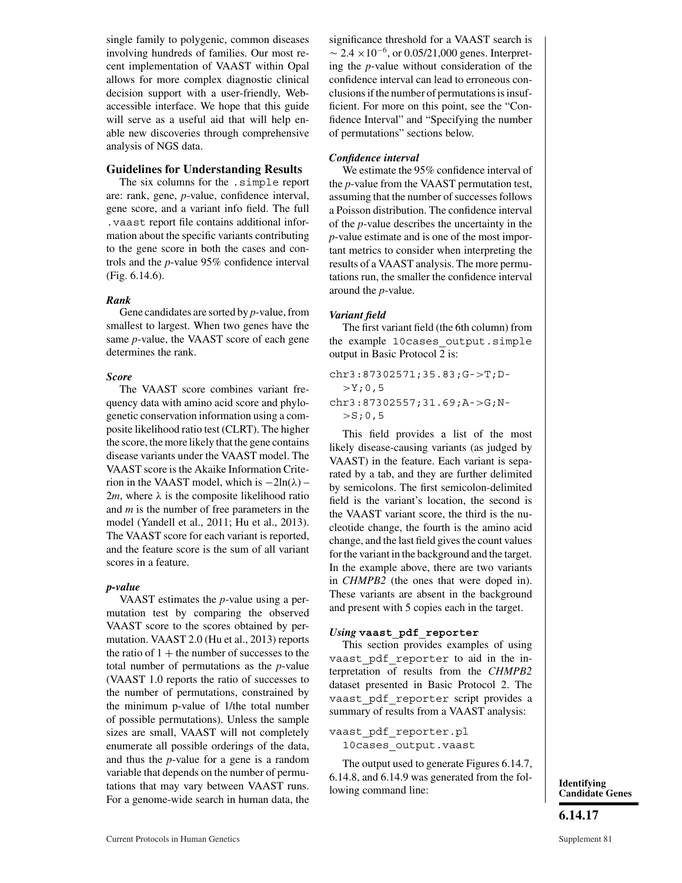single family to polygenic, common diseases involving hundreds of families. Our most recent implementation of VAAST within Opal allows for more complex diagnostic clinical decision support with a user-friendly, Webaccessible interface. We hope that this guide will serve as a useful aid that will help enable new discoveries through comprehensive analysis of NGS data.

#### **Guidelines for Understanding Results**

The six columns for the .simple report are: rank, gene, *p*-value, confidence interval, gene score, and a variant info field. The full .vaast report file contains additional information about the specific variants contributing to the gene score in both the cases and controls and the *p*-value 95% confidence interval (Fig. 6.14.6).

#### *Rank*

Gene candidates are sorted by *p*-value, from smallest to largest. When two genes have the same *p*-value, the VAAST score of each gene determines the rank.

#### *Score*

The VAAST score combines variant frequency data with amino acid score and phylogenetic conservation information using a composite likelihood ratio test (CLRT). The higher the score, the more likely that the gene contains disease variants under the VAAST model. The VAAST score is the Akaike Information Criterion in the VAAST model, which is  $-2\ln(\lambda)$  – 2*m*, where  $\lambda$  is the composite likelihood ratio and *m* is the number of free parameters in the model (Yandell et al., 2011; Hu et al., 2013). The VAAST score for each variant is reported, and the feature score is the sum of all variant scores in a feature.

#### *p-value*

VAAST estimates the *p*-value using a permutation test by comparing the observed VAAST score to the scores obtained by permutation. VAAST 2.0 (Hu et al., 2013) reports the ratio of  $1 +$  the number of successes to the total number of permutations as the *p*-value (VAAST 1.0 reports the ratio of successes to the number of permutations, constrained by the minimum p-value of 1/the total number of possible permutations). Unless the sample sizes are small, VAAST will not completely enumerate all possible orderings of the data, and thus the *p*-value for a gene is a random variable that depends on the number of permutations that may vary between VAAST runs. For a genome-wide search in human data, the significance threshold for a VAAST search is  $\sim$  2.4 × 10<sup>-6</sup>, or 0.05/21,000 genes. Interpreting the *p*-value without consideration of the confidence interval can lead to erroneous conclusions if the number of permutations is insufficient. For more on this point, see the "Confidence Interval" and "Specifying the number of permutations" sections below.

#### *Confidence interval*

We estimate the 95% confidence interval of the *p*-value from the VAAST permutation test, assuming that the number of successes follows a Poisson distribution. The confidence interval of the *p*-value describes the uncertainty in the *p*-value estimate and is one of the most important metrics to consider when interpreting the results of a VAAST analysis. The more permutations run, the smaller the confidence interval around the *p*-value.

#### *Variant field*

The first variant field (the 6th column) from the example 10cases output.simple output in Basic Protocol 2 is:

```
chr3:87302571;35.83;G->T;D-
  >Y;0,5chr3:87302557;31.69;A->G;N-
  >S; 0, 5
```
This field provides a list of the most likely disease-causing variants (as judged by VAAST) in the feature. Each variant is separated by a tab, and they are further delimited by semicolons. The first semicolon-delimited field is the variant's location, the second is the VAAST variant score, the third is the nucleotide change, the fourth is the amino acid change, and the last field gives the count values for the variant in the background and the target. In the example above, there are two variants in *CHMPB2* (the ones that were doped in). These variants are absent in the background and present with 5 copies each in the target.

#### *Using* **vaast\_pdf\_reporter**

This section provides examples of using vaast pdf reporter to aid in the interpretation of results from the *CHMPB2* dataset presented in Basic Protocol 2. The vaast\_pdf\_reporter script provides a summary of results from a VAAST analysis:

#### vaast\_pdf\_reporter.pl 10cases\_output.vaast

The output used to generate Figures 6.14.7, 6.14.8, and 6.14.9 was generated from the fol-0.14.0, and 0.14.2 was generated from the for-<br> **Identifying**<br> **Identifying**<br> **Identifying** 

**Candidate Genes**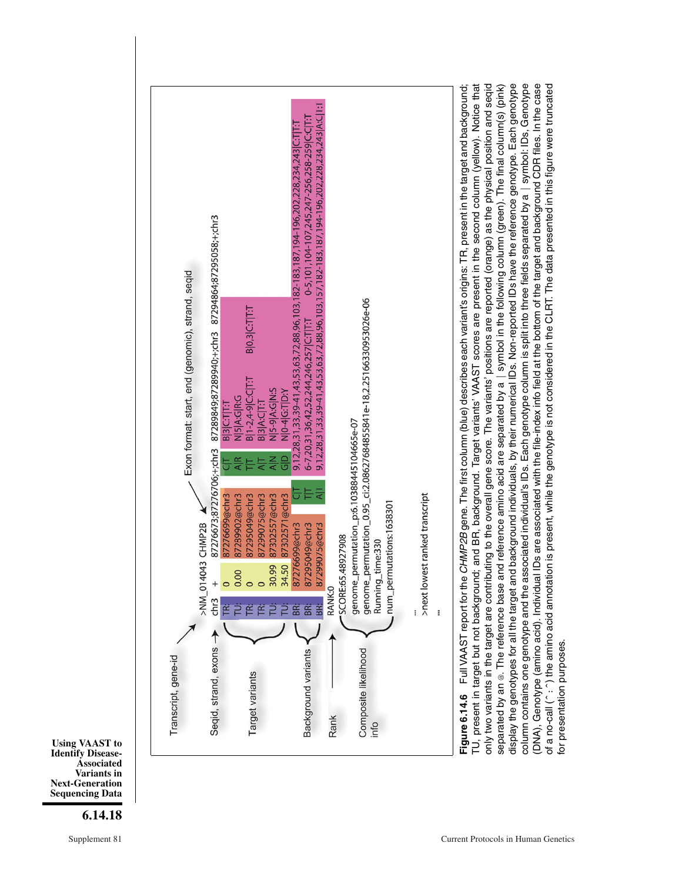

**Using VAAST to Identify Disease-Associated Variants in Next-Generation Sequencing Data**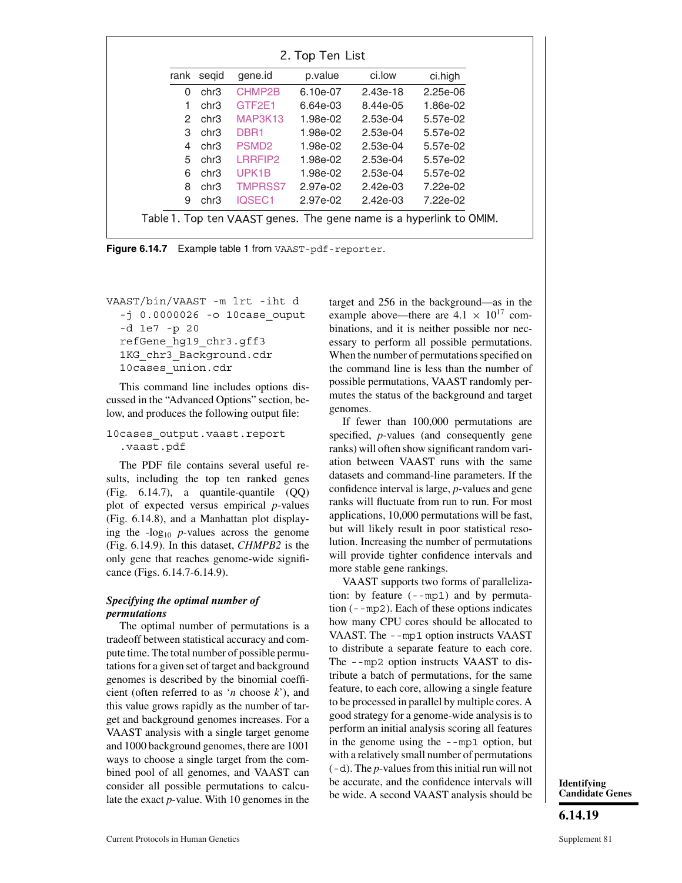|    | rank segid | gene.id           | p.value  | ci.low     | ci.high    |
|----|------------|-------------------|----------|------------|------------|
| 0  | chr3       | CHMP2B            | 6.10e-07 | $2.43e-18$ | $2.25e-06$ |
| 1. | chr3       | GTF2E1            | 6.64e-03 | 8.44e-05   | 1.86e-02   |
| 2  | chr3       | MAP3K13           | 1.98e-02 | $2.53e-04$ | 5.57e-02   |
| 3  | chr3       | DBR <sub>1</sub>  | 1.98e-02 | $2.53e-04$ | 5.57e-02   |
| 4  | chr3       | PSMD <sub>2</sub> | 1.98e-02 | 2.53e-04   | 5.57e-02   |
| 5  | chr3       | LRRFIP2           | 1.98e-02 | $2.53e-04$ | 5.57e-02   |
| 6  | chr3       | UPK <sub>1B</sub> | 1.98e-02 | 2.53e-04   | 5.57e-02   |
| 8  | chr3       | <b>TMPRSS7</b>    | 2.97e-02 | $2.42e-03$ | 7.22e-02   |
| 9  | chr3       | IQSEC1            | 2.97e-02 | $2.42e-03$ | 7.22e-02   |

**Figure 6.14.7** Example table 1 from VAAST-pdf-reporter.

VAAST/bin/VAAST -m lrt -iht d  $-$ j 0.0000026  $-$ o 10 $\c{case}$  ouput -d 1e7 -p 20 refGene\_hg19\_chr3.gff3 1KG chr3 Background.cdr 10cases union.cdr

This command line includes options discussed in the "Advanced Options" section, below, and produces the following output file:

10cases\_output.vaast.report .vaast.pdf

The PDF file contains several useful results, including the top ten ranked genes (Fig. 6.14.7), a quantile-quantile (QQ) plot of expected versus empirical *p*-values (Fig. 6.14.8), and a Manhattan plot displaying the  $-log_{10}$  *p*-values across the genome (Fig. 6.14.9). In this dataset, *CHMPB2* is the only gene that reaches genome-wide significance (Figs. 6.14.7-6.14.9).

#### *Specifying the optimal number of permutations*

The optimal number of permutations is a tradeoff between statistical accuracy and compute time. The total number of possible permutations for a given set of target and background genomes is described by the binomial coefficient (often referred to as '*n* choose *k*'), and this value grows rapidly as the number of target and background genomes increases. For a VAAST analysis with a single target genome and 1000 background genomes, there are 1001 ways to choose a single target from the combined pool of all genomes, and VAAST can consider all possible permutations to calculate the exact *p*-value. With 10 genomes in the

target and 256 in the background—as in the example above—there are  $4.1 \times 10^{17}$  combinations, and it is neither possible nor necessary to perform all possible permutations. When the number of permutations specified on the command line is less than the number of possible permutations, VAAST randomly permutes the status of the background and target genomes.

If fewer than 100,000 permutations are specified, *p*-values (and consequently gene ranks) will often show significant random variation between VAAST runs with the same datasets and command-line parameters. If the confidence interval is large, *p*-values and gene ranks will fluctuate from run to run. For most applications, 10,000 permutations will be fast, but will likely result in poor statistical resolution. Increasing the number of permutations will provide tighter confidence intervals and more stable gene rankings.

VAAST supports two forms of parallelization: by feature (--mp1) and by permutation (--mp2). Each of these options indicates how many CPU cores should be allocated to VAAST. The --mp1 option instructs VAAST to distribute a separate feature to each core. The --mp2 option instructs VAAST to distribute a batch of permutations, for the same feature, to each core, allowing a single feature to be processed in parallel by multiple cores. A good strategy for a genome-wide analysis is to perform an initial analysis scoring all features in the genome using the --mp1 option, but with a relatively small number of permutations (-d). The *p*-values from this initial run will not be accurate, and the confidence intervals will be wide. A second VAAST analysis should be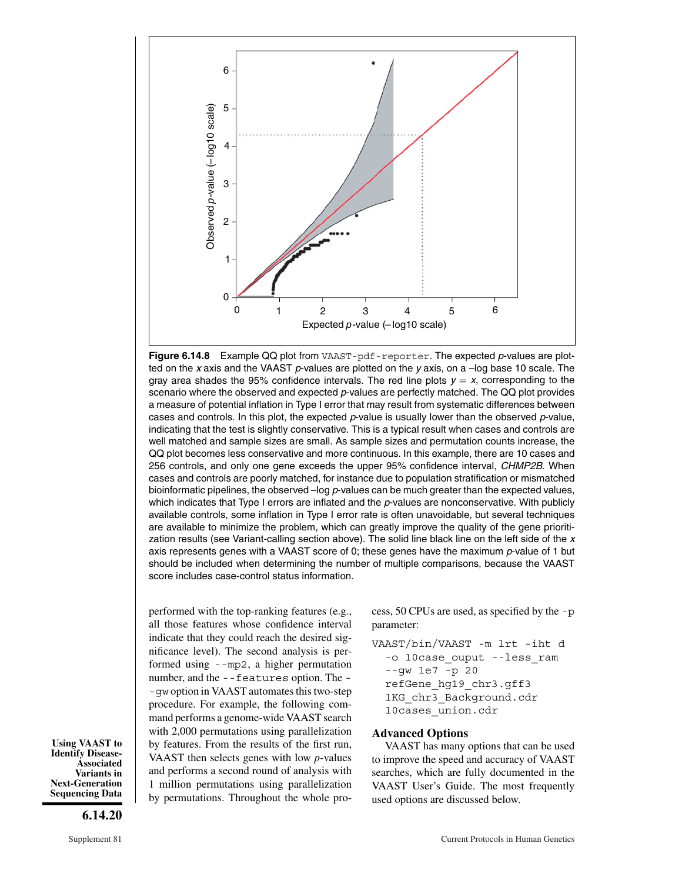

**Figure 6.14.8** Example QQ plot from VAAST-pdf-reporter. The expected p-values are plotted on the x axis and the VAAST p-values are plotted on the y axis, on a  $-$ log base 10 scale. The gray area shades the 95% confidence intervals. The red line plots  $y = x$ , corresponding to the scenario where the observed and expected p-values are perfectly matched. The QQ plot provides a measure of potential inflation in Type I error that may result from systematic differences between cases and controls. In this plot, the expected  $p$ -value is usually lower than the observed  $p$ -value, indicating that the test is slightly conservative. This is a typical result when cases and controls are well matched and sample sizes are small. As sample sizes and permutation counts increase, the QQ plot becomes less conservative and more continuous. In this example, there are 10 cases and 256 controls, and only one gene exceeds the upper 95% confidence interval, CHMP2B. When cases and controls are poorly matched, for instance due to population stratification or mismatched bioinformatic pipelines, the observed –log p-values can be much greater than the expected values, which indicates that Type I errors are inflated and the p-values are nonconservative. With publicly available controls, some inflation in Type I error rate is often unavoidable, but several techniques are available to minimize the problem, which can greatly improve the quality of the gene prioritization results (see Variant-calling section above). The solid line black line on the left side of the  $x$ axis represents genes with a VAAST score of 0; these genes have the maximum p-value of 1 but should be included when determining the number of multiple comparisons, because the VAAST score includes case-control status information.

performed with the top-ranking features (e.g., all those features whose confidence interval indicate that they could reach the desired significance level). The second analysis is performed using --mp2, a higher permutation number, and the --features option. The - -gw option in VAAST automates this two-step procedure. For example, the following command performs a genome-wide VAAST search with 2,000 permutations using parallelization by features. From the results of the first run, VAAST then selects genes with low *p*-values and performs a second round of analysis with 1 million permutations using parallelization by permutations. Throughout the whole process, 50 CPUs are used, as specified by the -p parameter:

VAAST/bin/VAAST -m lrt -iht d -o 10case ouput --less ram --gw 1e7 -p 20 refGene\_hg19\_chr3.gff3 1KG chr3 Background.cdr 10cases union.cdr

#### **Advanced Options**

VAAST has many options that can be used to improve the speed and accuracy of VAAST searches, which are fully documented in the VAAST User's Guide. The most frequently used options are discussed below.

**Using VAAST to Identify Disease-Associated Variants in Next-Generation Sequencing Data**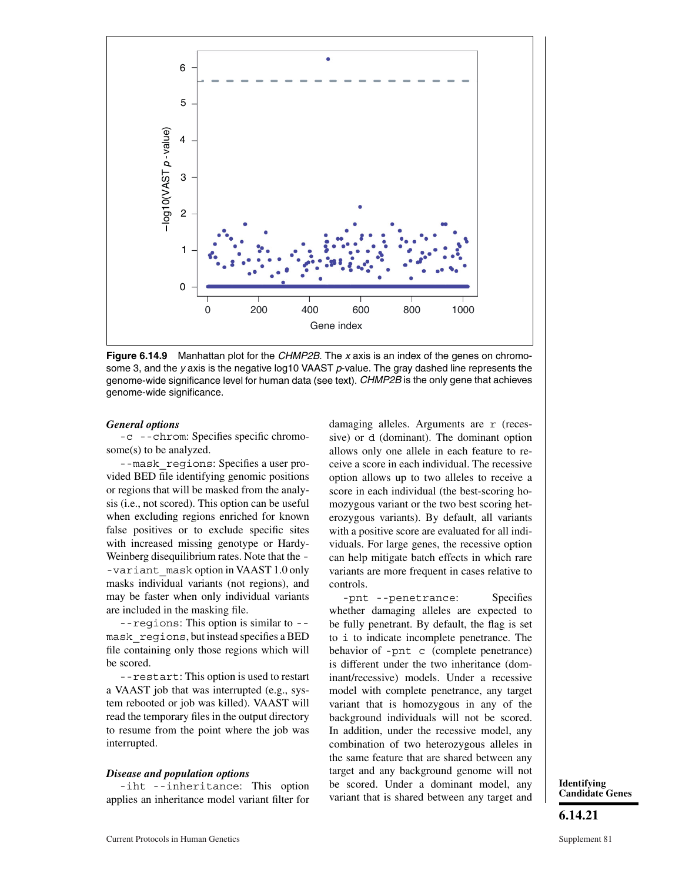

**Figure 6.14.9** Manhattan plot for the CHMP2B. The x axis is an index of the genes on chromosome 3, and the y axis is the negative log10 VAAST  $p$ -value. The gray dashed line represents the genome-wide significance level for human data (see text). CHMP2B is the only gene that achieves genome-wide significance.

#### *General options*

-c --chrom: Specifies specific chromosome(s) to be analyzed.

--mask\_regions: Specifies a user provided BED file identifying genomic positions or regions that will be masked from the analysis (i.e., not scored). This option can be useful when excluding regions enriched for known false positives or to exclude specific sites with increased missing genotype or Hardy-Weinberg disequilibrium rates. Note that the - -variant\_mask option in VAAST 1.0 only masks individual variants (not regions), and may be faster when only individual variants are included in the masking file.

--regions: This option is similar to - mask\_regions, but instead specifies a BED file containing only those regions which will be scored.

--restart: This option is used to restart a VAAST job that was interrupted (e.g., system rebooted or job was killed). VAAST will read the temporary files in the output directory to resume from the point where the job was interrupted.

#### *Disease and population options*

-iht --inheritance: This option applies an inheritance model variant filter for damaging alleles. Arguments are r (recessive) or d (dominant). The dominant option allows only one allele in each feature to receive a score in each individual. The recessive option allows up to two alleles to receive a score in each individual (the best-scoring homozygous variant or the two best scoring heterozygous variants). By default, all variants with a positive score are evaluated for all individuals. For large genes, the recessive option can help mitigate batch effects in which rare variants are more frequent in cases relative to controls.

-pnt --penetrance: Specifies whether damaging alleles are expected to be fully penetrant. By default, the flag is set to i to indicate incomplete penetrance. The behavior of -pnt c (complete penetrance) is different under the two inheritance (dominant/recessive) models. Under a recessive model with complete penetrance, any target variant that is homozygous in any of the background individuals will not be scored. In addition, under the recessive model, any combination of two heterozygous alleles in the same feature that are shared between any target and any background genome will not be scored. Under a dominant model, any variant that is shared between any target and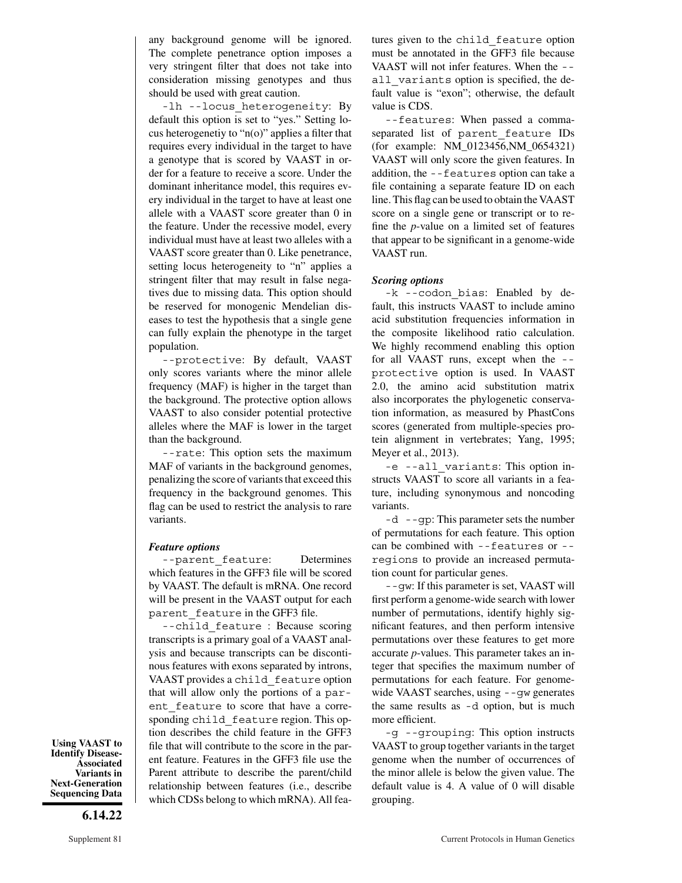any background genome will be ignored. The complete penetrance option imposes a very stringent filter that does not take into consideration missing genotypes and thus should be used with great caution.

-lh --locus heterogeneity: By default this option is set to "yes." Setting locus heterogenetiy to "n(o)" applies a filter that requires every individual in the target to have a genotype that is scored by VAAST in order for a feature to receive a score. Under the dominant inheritance model, this requires every individual in the target to have at least one allele with a VAAST score greater than 0 in the feature. Under the recessive model, every individual must have at least two alleles with a VAAST score greater than 0. Like penetrance, setting locus heterogeneity to "n" applies a stringent filter that may result in false negatives due to missing data. This option should be reserved for monogenic Mendelian diseases to test the hypothesis that a single gene can fully explain the phenotype in the target population.

--protective: By default, VAAST only scores variants where the minor allele frequency (MAF) is higher in the target than the background. The protective option allows VAAST to also consider potential protective alleles where the MAF is lower in the target than the background.

--rate: This option sets the maximum MAF of variants in the background genomes, penalizing the score of variants that exceed this frequency in the background genomes. This flag can be used to restrict the analysis to rare variants.

#### *Feature options*

--parent feature: Determines which features in the GFF3 file will be scored by VAAST. The default is mRNA. One record will be present in the VAAST output for each parent feature in the GFF3 file.

--child\_feature : Because scoring transcripts is a primary goal of a VAAST analysis and because transcripts can be discontinous features with exons separated by introns, VAAST provides a child\_feature option that will allow only the portions of a parent feature to score that have a corresponding child feature region. This option describes the child feature in the GFF3 file that will contribute to the score in the parent feature. Features in the GFF3 file use the Parent attribute to describe the parent/child relationship between features (i.e., describe which CDSs belong to which mRNA). All features given to the child\_feature option must be annotated in the GFF3 file because VAAST will not infer features. When the - all variants option is specified, the default value is "exon"; otherwise, the default value is CDS.

--features: When passed a commaseparated list of parent\_feature IDs (for example: NM\_0123456,NM\_0654321) VAAST will only score the given features. In addition, the --features option can take a file containing a separate feature ID on each line. This flag can be used to obtain the VAAST score on a single gene or transcript or to refine the *p*-value on a limited set of features that appear to be significant in a genome-wide VAAST run.

#### *Scoring options*

-k --codon bias: Enabled by default, this instructs VAAST to include amino acid substitution frequencies information in the composite likelihood ratio calculation. We highly recommend enabling this option for all VAAST runs, except when the - protective option is used. In VAAST 2.0, the amino acid substitution matrix also incorporates the phylogenetic conservation information, as measured by PhastCons scores (generated from multiple-species protein alignment in vertebrates; Yang, 1995; Meyer et al., 2013).

-e --all\_variants: This option instructs VAAST to score all variants in a feature, including synonymous and noncoding variants.

-d --gp: This parameter sets the number of permutations for each feature. This option can be combined with --features or - regions to provide an increased permutation count for particular genes.

--gw: If this parameter is set, VAAST will first perform a genome-wide search with lower number of permutations, identify highly significant features, and then perform intensive permutations over these features to get more accurate *p*-values. This parameter takes an integer that specifies the maximum number of permutations for each feature. For genomewide VAAST searches, using --gw generates the same results as -d option, but is much more efficient.

-g --grouping: This option instructs VAAST to group together variants in the target genome when the number of occurrences of the minor allele is below the given value. The default value is 4. A value of 0 will disable grouping.

**Using VAAST to Identify Disease-Associated Variants in Next-Generation Sequencing Data**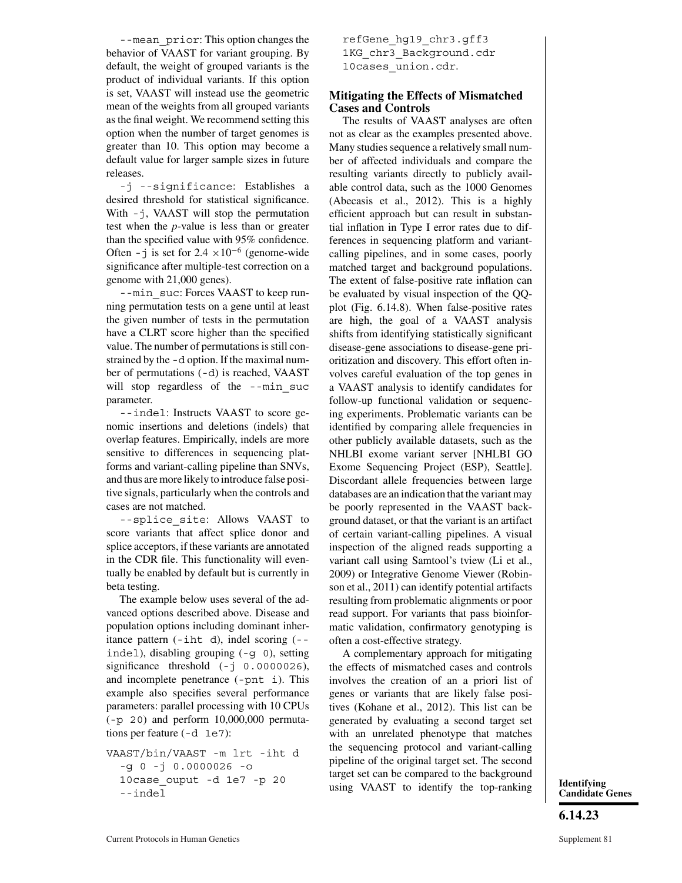--mean\_prior: This option changes the behavior of VAAST for variant grouping. By default, the weight of grouped variants is the product of individual variants. If this option is set, VAAST will instead use the geometric mean of the weights from all grouped variants as the final weight. We recommend setting this option when the number of target genomes is greater than 10. This option may become a default value for larger sample sizes in future releases.

-j --significance: Establishes a desired threshold for statistical significance. With  $-$ j, VAAST will stop the permutation test when the *p*-value is less than or greater than the specified value with 95% confidence. Often - j is set for 2.4  $\times 10^{-6}$  (genome-wide significance after multiple-test correction on a genome with 21,000 genes).

--min suc: Forces VAAST to keep running permutation tests on a gene until at least the given number of tests in the permutation have a CLRT score higher than the specified value. The number of permutations is still constrained by the -d option. If the maximal number of permutations (-d) is reached, VAAST will stop regardless of the --min suc parameter.

--indel: Instructs VAAST to score genomic insertions and deletions (indels) that overlap features. Empirically, indels are more sensitive to differences in sequencing platforms and variant-calling pipeline than SNVs, and thus are more likely to introduce false positive signals, particularly when the controls and cases are not matched.

--splice\_site: Allows VAAST to score variants that affect splice donor and splice acceptors, if these variants are annotated in the CDR file. This functionality will eventually be enabled by default but is currently in beta testing.

The example below uses several of the advanced options described above. Disease and population options including dominant inheritance pattern (-iht d), indel scoring (- indel), disabling grouping (-g 0), setting significance threshold  $(-j \ 0.0000026)$ , and incomplete penetrance (-pnt i). This example also specifies several performance parameters: parallel processing with 10 CPUs  $(-p 20)$  and perform  $10,000,000$  permutations per feature (-d 1e7):

VAAST/bin/VAAST -m lrt -iht d -g 0 -j 0.0000026 -o 10case\_ouput -d 1e7 -p 20 --indel

refGene\_hg19\_chr3.gff3 1KG chr3 Background.cdr 10cases union.cdr.

#### **Mitigating the Effects of Mismatched Cases and Controls**

The results of VAAST analyses are often not as clear as the examples presented above. Many studies sequence a relatively small number of affected individuals and compare the resulting variants directly to publicly available control data, such as the 1000 Genomes (Abecasis et al., 2012). This is a highly efficient approach but can result in substantial inflation in Type I error rates due to differences in sequencing platform and variantcalling pipelines, and in some cases, poorly matched target and background populations. The extent of false-positive rate inflation can be evaluated by visual inspection of the QQplot (Fig. 6.14.8). When false-positive rates are high, the goal of a VAAST analysis shifts from identifying statistically significant disease-gene associations to disease-gene prioritization and discovery. This effort often involves careful evaluation of the top genes in a VAAST analysis to identify candidates for follow-up functional validation or sequencing experiments. Problematic variants can be identified by comparing allele frequencies in other publicly available datasets, such as the NHLBI exome variant server [NHLBI GO Exome Sequencing Project (ESP), Seattle]. Discordant allele frequencies between large databases are an indication that the variant may be poorly represented in the VAAST background dataset, or that the variant is an artifact of certain variant-calling pipelines. A visual inspection of the aligned reads supporting a variant call using Samtool's tview (Li et al., 2009) or Integrative Genome Viewer (Robinson et al., 2011) can identify potential artifacts resulting from problematic alignments or poor read support. For variants that pass bioinformatic validation, confirmatory genotyping is often a cost-effective strategy.

A complementary approach for mitigating the effects of mismatched cases and controls involves the creation of an a priori list of genes or variants that are likely false positives (Kohane et al., 2012). This list can be generated by evaluating a second target set with an unrelated phenotype that matches the sequencing protocol and variant-calling pipeline of the original target set. The second target set can be compared to the background using VAAST to identify the top-ranking **Identifying**

**Candidate Genes**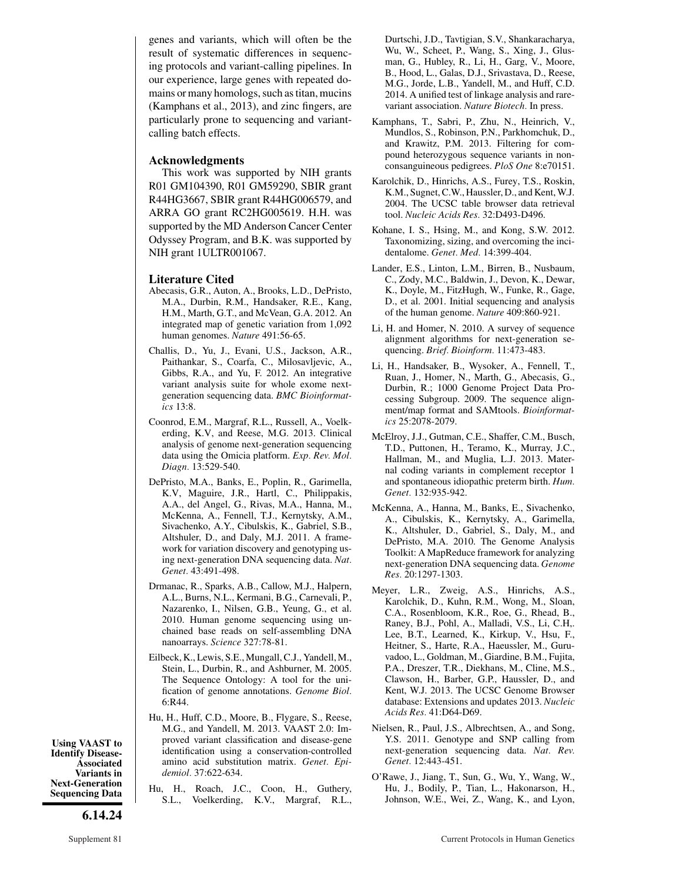genes and variants, which will often be the result of systematic differences in sequencing protocols and variant-calling pipelines. In our experience, large genes with repeated domains or many homologs, such as titan, mucins (Kamphans et al., 2013), and zinc fingers, are particularly prone to sequencing and variantcalling batch effects.

#### **Acknowledgments**

This work was supported by NIH grants R01 GM104390, R01 GM59290, SBIR grant R44HG3667, SBIR grant R44HG006579, and ARRA GO grant RC2HG005619. H.H. was supported by the MD Anderson Cancer Center Odyssey Program, and B.K. was supported by NIH grant 1ULTR001067.

#### **Literature Cited**

- Abecasis, G.R., Auton, A., Brooks, L.D., DePristo, M.A., Durbin, R.M., Handsaker, R.E., Kang, H.M., Marth, G.T., and McVean, G.A. 2012. An integrated map of genetic variation from 1,092 human genomes. *Nature* 491:56-65.
- Challis, D., Yu, J., Evani, U.S., Jackson, A.R., Paithankar, S., Coarfa, C., Milosavljevic, A., Gibbs, R.A., and Yu, F. 2012. An integrative variant analysis suite for whole exome nextgeneration sequencing data. *BMC Bioinformatics* 13:8.
- Coonrod, E.M., Margraf, R.L., Russell, A., Voelkerding, K.V, and Reese, M.G. 2013. Clinical analysis of genome next-generation sequencing data using the Omicia platform. *Exp. Rev. Mol. Diagn.* 13:529-540.
- DePristo, M.A., Banks, E., Poplin, R., Garimella, K.V, Maguire, J.R., Hartl, C., Philippakis, A.A., del Angel, G., Rivas, M.A., Hanna, M., McKenna, A., Fennell, T.J., Kernytsky, A.M., Sivachenko, A.Y., Cibulskis, K., Gabriel, S.B., Altshuler, D., and Daly, M.J. 2011. A framework for variation discovery and genotyping using next-generation DNA sequencing data. *Nat. Genet.* 43:491-498.
- Drmanac, R., Sparks, A.B., Callow, M.J., Halpern, A.L., Burns, N.L., Kermani, B.G., Carnevali, P., Nazarenko, I., Nilsen, G.B., Yeung, G., et al. 2010. Human genome sequencing using unchained base reads on self-assembling DNA nanoarrays. *Science* 327:78-81.
- Eilbeck, K., Lewis, S.E., Mungall, C.J., Yandell, M., Stein, L., Durbin, R., and Ashburner, M. 2005. The Sequence Ontology: A tool for the unification of genome annotations. *Genome Biol.* 6:R44.
- Hu, H., Huff, C.D., Moore, B., Flygare, S., Reese, M.G., and Yandell, M. 2013. VAAST 2.0: Improved variant classification and disease-gene identification using a conservation-controlled amino acid substitution matrix. *Genet. Epidemiol.* 37:622-634.
- Hu, H., Roach, J.C., Coon, H., Guthery, S.L., Voelkerding, K.V., Margraf, R.L.,

Durtschi, J.D., Tavtigian, S.V., Shankaracharya, Wu, W., Scheet, P., Wang, S., Xing, J., Glusman, G., Hubley, R., Li, H., Garg, V., Moore, B., Hood, L., Galas, D.J., Srivastava, D., Reese, M.G., Jorde, L.B., Yandell, M., and Huff, C.D. 2014. A unified test of linkage analysis and rarevariant association. *Nature Biotech.* In press.

- Kamphans, T., Sabri, P., Zhu, N., Heinrich, V., Mundlos, S., Robinson, P.N., Parkhomchuk, D., and Krawitz, P.M. 2013. Filtering for compound heterozygous sequence variants in nonconsanguineous pedigrees. *PloS One* 8:e70151.
- Karolchik, D., Hinrichs, A.S., Furey, T.S., Roskin, K.M., Sugnet, C.W., Haussler, D., and Kent, W.J. 2004. The UCSC table browser data retrieval tool. *Nucleic Acids Res.* 32:D493-D496.
- Kohane, I. S., Hsing, M., and Kong, S.W. 2012. Taxonomizing, sizing, and overcoming the incidentalome. *Genet. Med.* 14:399-404.
- Lander, E.S., Linton, L.M., Birren, B., Nusbaum, C., Zody, M.C., Baldwin, J., Devon, K., Dewar, K., Doyle, M., FitzHugh, W., Funke, R., Gage, D., et al. 2001. Initial sequencing and analysis of the human genome. *Nature* 409:860-921.
- Li, H. and Homer, N. 2010. A survey of sequence alignment algorithms for next-generation sequencing. *Brief. Bioinform.* 11:473-483.
- Li, H., Handsaker, B., Wysoker, A., Fennell, T., Ruan, J., Homer, N., Marth, G., Abecasis, G., Durbin, R.; 1000 Genome Project Data Processing Subgroup. 2009. The sequence alignment/map format and SAMtools. *Bioinformatics* 25:2078-2079.
- McElroy, J.J., Gutman, C.E., Shaffer, C.M., Busch, T.D., Puttonen, H., Teramo, K., Murray, J.C., Hallman, M., and Muglia, L.J. 2013. Maternal coding variants in complement receptor 1 and spontaneous idiopathic preterm birth. *Hum. Genet.* 132:935-942.
- McKenna, A., Hanna, M., Banks, E., Sivachenko, A., Cibulskis, K., Kernytsky, A., Garimella, K., Altshuler, D., Gabriel, S., Daly, M., and DePristo, M.A. 2010. The Genome Analysis Toolkit: A MapReduce framework for analyzing next-generation DNA sequencing data. *Genome Res.* 20:1297-1303.
- Meyer, L.R., Zweig, A.S., Hinrichs, A.S., Karolchik, D., Kuhn, R.M., Wong, M., Sloan, C.A., Rosenbloom, K.R., Roe, G., Rhead, B., Raney, B.J., Pohl, A., Malladi, V.S., Li, C.H,. Lee, B.T., Learned, K., Kirkup, V., Hsu, F., Heitner, S., Harte, R.A., Haeussler, M., Guruvadoo, L., Goldman, M., Giardine, B.M., Fujita, P.A., Dreszer, T.R., Diekhans, M., Cline, M.S., Clawson, H., Barber, G.P., Haussler, D., and Kent, W.J. 2013. The UCSC Genome Browser database: Extensions and updates 2013. *Nucleic Acids Res.* 41:D64-D69.
- Nielsen, R., Paul, J.S., Albrechtsen, A., and Song, Y.S. 2011. Genotype and SNP calling from next-generation sequencing data. *Nat. Rev. Genet.* 12:443-451.
- O'Rawe, J., Jiang, T., Sun, G., Wu, Y., Wang, W., Hu, J., Bodily, P., Tian, L., Hakonarson, H., Johnson, W.E., Wei, Z., Wang, K., and Lyon,

**Using VAAST to Identify Disease-Associated Variants in Next-Generation Sequencing Data**